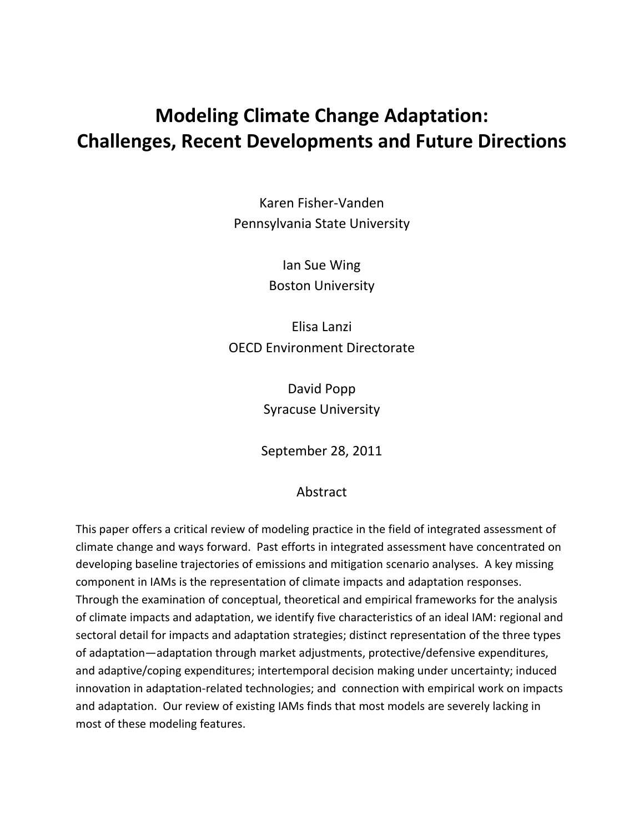# **Modeling Climate Change Adaptation: Challenges, Recent Developments and Future Directions**

Karen Fisher-Vanden Pennsylvania State University

> Ian Sue Wing Boston University

Elisa Lanzi OECD Environment Directorate

> David Popp Syracuse University

September 28, 2011

# Abstract

This paper offers a critical review of modeling practice in the field of integrated assessment of climate change and ways forward. Past efforts in integrated assessment have concentrated on developing baseline trajectories of emissions and mitigation scenario analyses. A key missing component in IAMs is the representation of climate impacts and adaptation responses. Through the examination of conceptual, theoretical and empirical frameworks for the analysis of climate impacts and adaptation, we identify five characteristics of an ideal IAM: regional and sectoral detail for impacts and adaptation strategies; distinct representation of the three types of adaptation—adaptation through market adjustments, protective/defensive expenditures, and adaptive/coping expenditures; intertemporal decision making under uncertainty; induced innovation in adaptation-related technologies; and connection with empirical work on impacts and adaptation. Our review of existing IAMs finds that most models are severely lacking in most of these modeling features.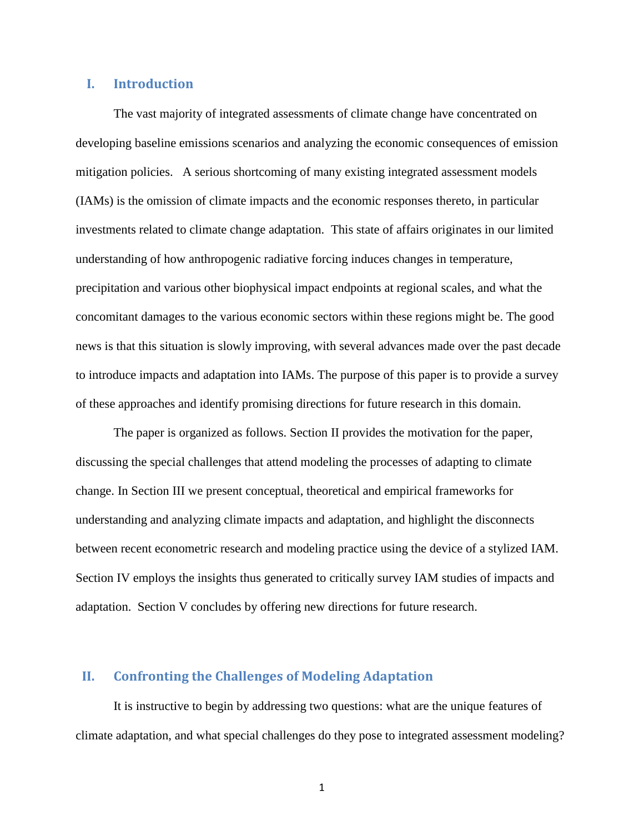#### **I. Introduction**

The vast majority of integrated assessments of climate change have concentrated on developing baseline emissions scenarios and analyzing the economic consequences of emission mitigation policies. A serious shortcoming of many existing integrated assessment models (IAMs) is the omission of climate impacts and the economic responses thereto, in particular investments related to climate change adaptation. This state of affairs originates in our limited understanding of how anthropogenic radiative forcing induces changes in temperature, precipitation and various other biophysical impact endpoints at regional scales, and what the concomitant damages to the various economic sectors within these regions might be. The good news is that this situation is slowly improving, with several advances made over the past decade to introduce impacts and adaptation into IAMs. The purpose of this paper is to provide a survey of these approaches and identify promising directions for future research in this domain.

The paper is organized as follows. Section II provides the motivation for the paper, discussing the special challenges that attend modeling the processes of adapting to climate change. In Section III we present conceptual, theoretical and empirical frameworks for understanding and analyzing climate impacts and adaptation, and highlight the disconnects between recent econometric research and modeling practice using the device of a stylized IAM. Section IV employs the insights thus generated to critically survey IAM studies of impacts and adaptation. Section V concludes by offering new directions for future research.

## **II. Confronting the Challenges of Modeling Adaptation**

It is instructive to begin by addressing two questions: what are the unique features of climate adaptation, and what special challenges do they pose to integrated assessment modeling?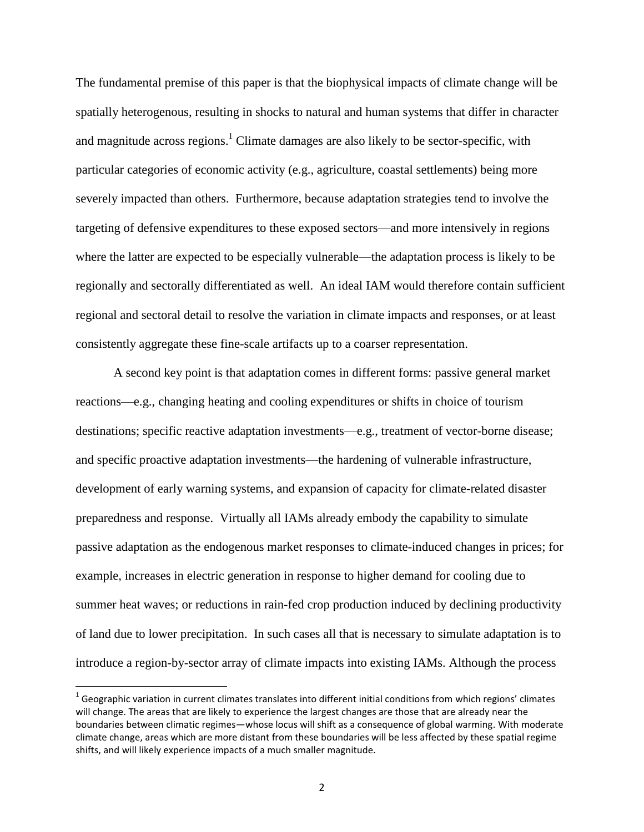The fundamental premise of this paper is that the biophysical impacts of climate change will be spatially heterogenous, resulting in shocks to natural and human systems that differ in character and magnitude across regions.<sup>1</sup> Climate damages are also likely to be sector-specific, with particular categories of economic activity (e.g., agriculture, coastal settlements) being more severely impacted than others. Furthermore, because adaptation strategies tend to involve the targeting of defensive expenditures to these exposed sectors—and more intensively in regions where the latter are expected to be especially vulnerable—the adaptation process is likely to be regionally and sectorally differentiated as well. An ideal IAM would therefore contain sufficient regional and sectoral detail to resolve the variation in climate impacts and responses, or at least consistently aggregate these fine-scale artifacts up to a coarser representation.

A second key point is that adaptation comes in different forms: passive general market reactions—e.g., changing heating and cooling expenditures or shifts in choice of tourism destinations; specific reactive adaptation investments—e.g., treatment of vector-borne disease; and specific proactive adaptation investments—the hardening of vulnerable infrastructure, development of early warning systems, and expansion of capacity for climate-related disaster preparedness and response. Virtually all IAMs already embody the capability to simulate passive adaptation as the endogenous market responses to climate-induced changes in prices; for example, increases in electric generation in response to higher demand for cooling due to summer heat waves; or reductions in rain-fed crop production induced by declining productivity of land due to lower precipitation. In such cases all that is necessary to simulate adaptation is to introduce a region-by-sector array of climate impacts into existing IAMs. Although the process

l

 $^1$  Geographic variation in current climates translates into different initial conditions from which regions' climates will change. The areas that are likely to experience the largest changes are those that are already near the boundaries between climatic regimes—whose locus will shift as a consequence of global warming. With moderate climate change, areas which are more distant from these boundaries will be less affected by these spatial regime shifts, and will likely experience impacts of a much smaller magnitude.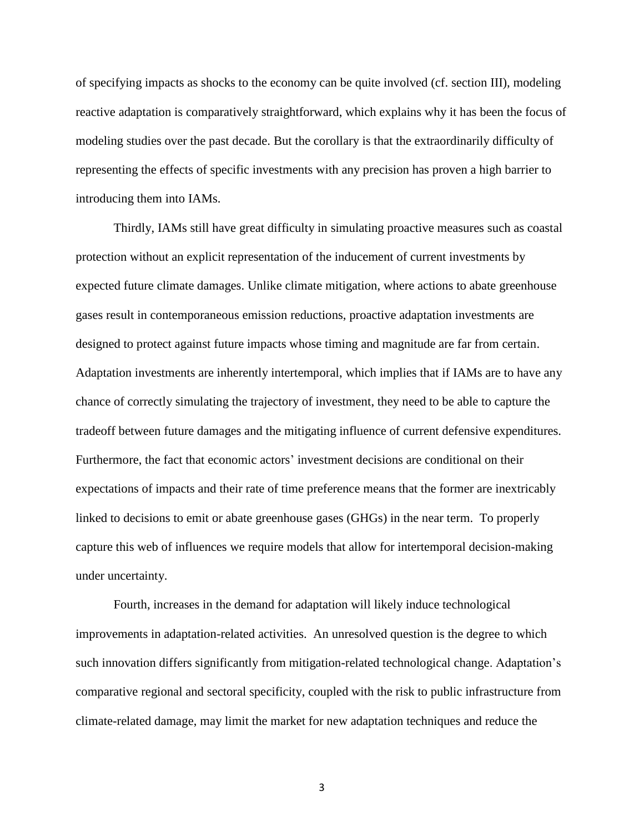of specifying impacts as shocks to the economy can be quite involved (cf. section III), modeling reactive adaptation is comparatively straightforward, which explains why it has been the focus of modeling studies over the past decade. But the corollary is that the extraordinarily difficulty of representing the effects of specific investments with any precision has proven a high barrier to introducing them into IAMs.

Thirdly, IAMs still have great difficulty in simulating proactive measures such as coastal protection without an explicit representation of the inducement of current investments by expected future climate damages. Unlike climate mitigation, where actions to abate greenhouse gases result in contemporaneous emission reductions, proactive adaptation investments are designed to protect against future impacts whose timing and magnitude are far from certain. Adaptation investments are inherently intertemporal, which implies that if IAMs are to have any chance of correctly simulating the trajectory of investment, they need to be able to capture the tradeoff between future damages and the mitigating influence of current defensive expenditures. Furthermore, the fact that economic actors' investment decisions are conditional on their expectations of impacts and their rate of time preference means that the former are inextricably linked to decisions to emit or abate greenhouse gases (GHGs) in the near term. To properly capture this web of influences we require models that allow for intertemporal decision-making under uncertainty.

Fourth, increases in the demand for adaptation will likely induce technological improvements in adaptation-related activities. An unresolved question is the degree to which such innovation differs significantly from mitigation-related technological change. Adaptation's comparative regional and sectoral specificity, coupled with the risk to public infrastructure from climate-related damage, may limit the market for new adaptation techniques and reduce the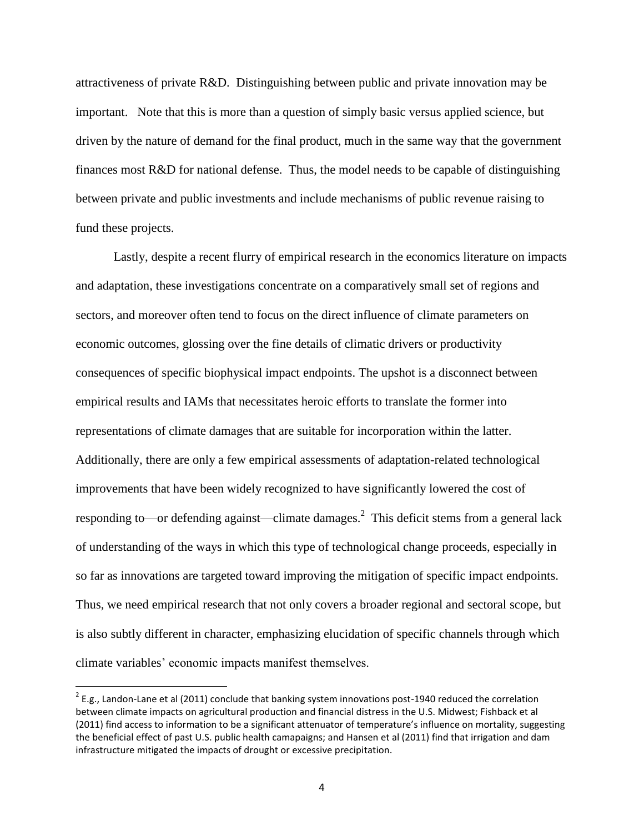attractiveness of private R&D. Distinguishing between public and private innovation may be important. Note that this is more than a question of simply basic versus applied science, but driven by the nature of demand for the final product, much in the same way that the government finances most R&D for national defense. Thus, the model needs to be capable of distinguishing between private and public investments and include mechanisms of public revenue raising to fund these projects.

Lastly, despite a recent flurry of empirical research in the economics literature on impacts and adaptation, these investigations concentrate on a comparatively small set of regions and sectors, and moreover often tend to focus on the direct influence of climate parameters on economic outcomes, glossing over the fine details of climatic drivers or productivity consequences of specific biophysical impact endpoints. The upshot is a disconnect between empirical results and IAMs that necessitates heroic efforts to translate the former into representations of climate damages that are suitable for incorporation within the latter. Additionally, there are only a few empirical assessments of adaptation-related technological improvements that have been widely recognized to have significantly lowered the cost of responding to—or defending against—climate damages.<sup>2</sup> This deficit stems from a general lack of understanding of the ways in which this type of technological change proceeds, especially in so far as innovations are targeted toward improving the mitigation of specific impact endpoints. Thus, we need empirical research that not only covers a broader regional and sectoral scope, but is also subtly different in character, emphasizing elucidation of specific channels through which climate variables' economic impacts manifest themselves.

l

 $2$  E.g., Landon-Lane et al (2011) conclude that banking system innovations post-1940 reduced the correlation between climate impacts on agricultural production and financial distress in the U.S. Midwest; Fishback et al (2011) find access to information to be a significant attenuator of temperature's influence on mortality, suggesting the beneficial effect of past U.S. public health camapaigns; and Hansen et al (2011) find that irrigation and dam infrastructure mitigated the impacts of drought or excessive precipitation.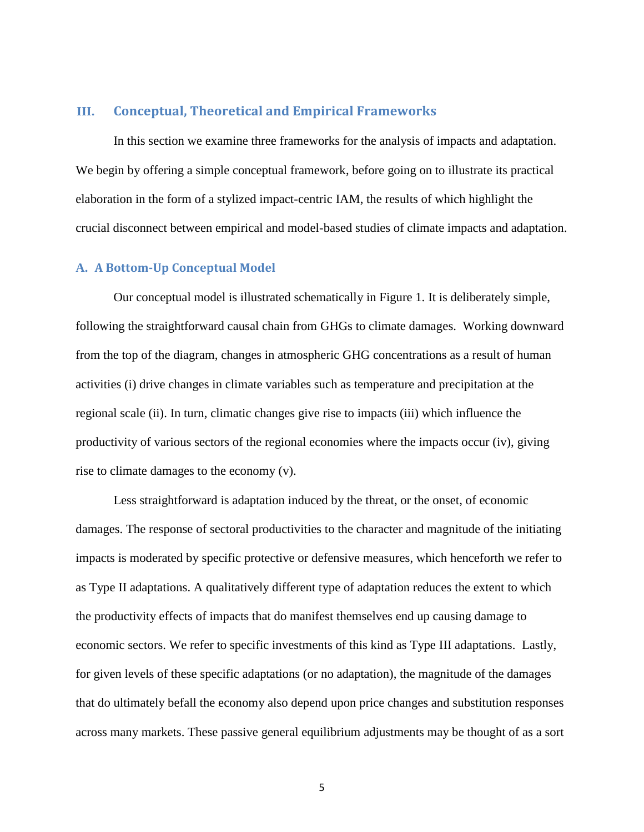#### **III. Conceptual, Theoretical and Empirical Frameworks**

In this section we examine three frameworks for the analysis of impacts and adaptation. We begin by offering a simple conceptual framework, before going on to illustrate its practical elaboration in the form of a stylized impact-centric IAM, the results of which highlight the crucial disconnect between empirical and model-based studies of climate impacts and adaptation.

#### **A. A Bottom-Up Conceptual Model**

Our conceptual model is illustrated schematically in Figure 1. It is deliberately simple, following the straightforward causal chain from GHGs to climate damages. Working downward from the top of the diagram, changes in atmospheric GHG concentrations as a result of human activities (i) drive changes in climate variables such as temperature and precipitation at the regional scale (ii). In turn, climatic changes give rise to impacts (iii) which influence the productivity of various sectors of the regional economies where the impacts occur (iv), giving rise to climate damages to the economy (v).

Less straightforward is adaptation induced by the threat, or the onset, of economic damages. The response of sectoral productivities to the character and magnitude of the initiating impacts is moderated by specific protective or defensive measures, which henceforth we refer to as Type II adaptations. A qualitatively different type of adaptation reduces the extent to which the productivity effects of impacts that do manifest themselves end up causing damage to economic sectors. We refer to specific investments of this kind as Type III adaptations. Lastly, for given levels of these specific adaptations (or no adaptation), the magnitude of the damages that do ultimately befall the economy also depend upon price changes and substitution responses across many markets. These passive general equilibrium adjustments may be thought of as a sort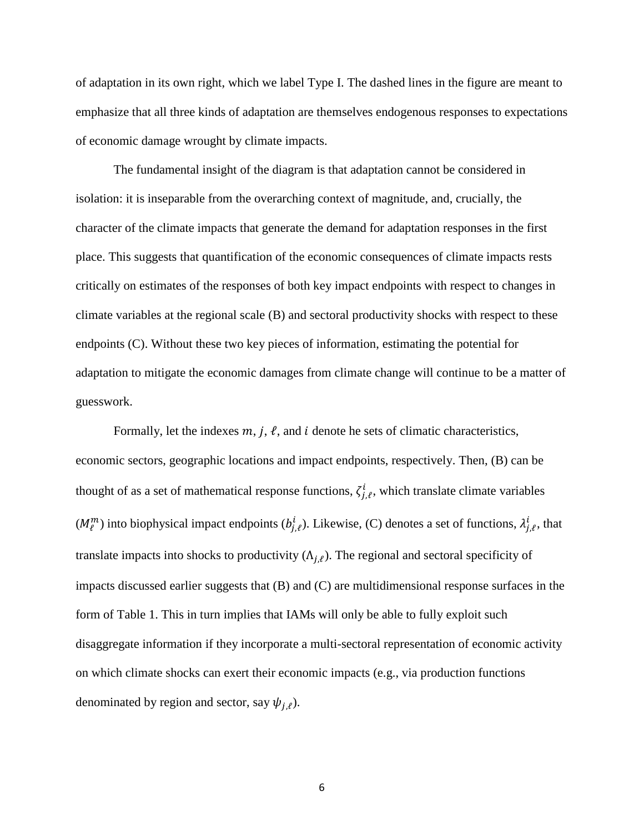of adaptation in its own right, which we label Type I. The dashed lines in the figure are meant to emphasize that all three kinds of adaptation are themselves endogenous responses to expectations of economic damage wrought by climate impacts.

The fundamental insight of the diagram is that adaptation cannot be considered in isolation: it is inseparable from the overarching context of magnitude, and, crucially, the character of the climate impacts that generate the demand for adaptation responses in the first place. This suggests that quantification of the economic consequences of climate impacts rests critically on estimates of the responses of both key impact endpoints with respect to changes in climate variables at the regional scale (B) and sectoral productivity shocks with respect to these endpoints (C). Without these two key pieces of information, estimating the potential for adaptation to mitigate the economic damages from climate change will continue to be a matter of guesswork.

Formally, let the indexes  $m$ ,  $j$ ,  $\ell$ , and i denote he sets of climatic characteristics, economic sectors, geographic locations and impact endpoints, respectively. Then, (B) can be thought of as a set of mathematical response functions,  $\zeta_{i,\ell}^i$ , which translate climate variables  $(M_\ell^m)$  into biophysical impact endpoints  $(b_{i,\ell}^i)$ . Likewise, (C) denotes a set of functions,  $\lambda_{i,\ell}^i$ , that translate impacts into shocks to productivity  $(\Lambda_{i,\ell})$ . The regional and sectoral specificity of impacts discussed earlier suggests that (B) and (C) are multidimensional response surfaces in the form of Table 1. This in turn implies that IAMs will only be able to fully exploit such disaggregate information if they incorporate a multi-sectoral representation of economic activity on which climate shocks can exert their economic impacts (e.g., via production functions denominated by region and sector, say  $\psi_{i,\ell}$ ).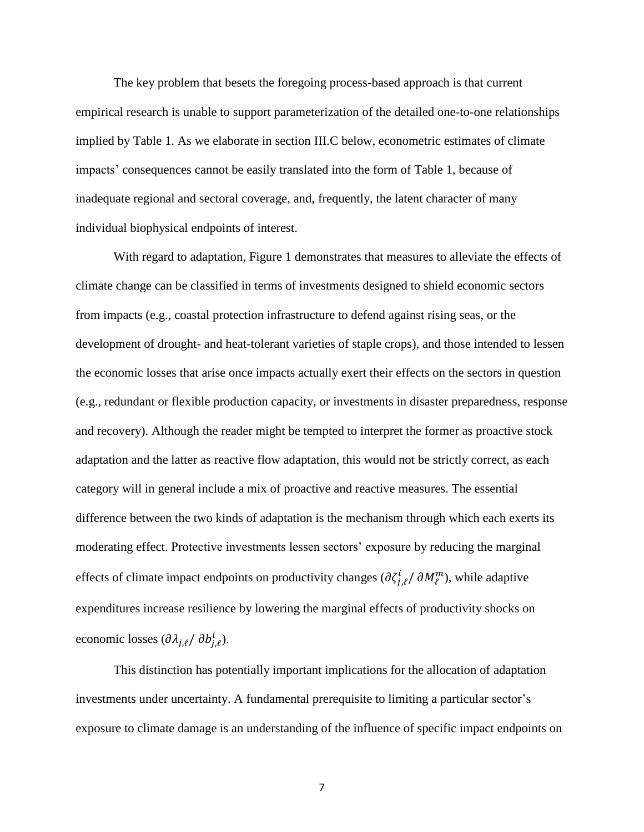The key problem that besets the foregoing process-based approach is that current empirical research is unable to support parameterization of the detailed one-to-one relationships implied by Table 1. As we elaborate in section III.C below, econometric estimates of climate impacts' consequences cannot be easily translated into the form of Table 1, because of inadequate regional and sectoral coverage, and, frequently, the latent character of many individual biophysical endpoints of interest.

With regard to adaptation, Figure 1 demonstrates that measures to alleviate the effects of climate change can be classified in terms of investments designed to shield economic sectors from impacts (e.g., coastal protection infrastructure to defend against rising seas, or the development of drought- and heat-tolerant varieties of staple crops), and those intended to lessen the economic losses that arise once impacts actually exert their effects on the sectors in question (e.g., redundant or flexible production capacity, or investments in disaster preparedness, response and recovery). Although the reader might be tempted to interpret the former as proactive stock adaptation and the latter as reactive flow adaptation, this would not be strictly correct, as each category will in general include a mix of proactive and reactive measures. The essential difference between the two kinds of adaptation is the mechanism through which each exerts its moderating effect. Protective investments lessen sectors' exposure by reducing the marginal effects of climate impact endpoints on productivity changes  $\left(\frac{\partial \zeta_{i,\ell}^i}{\partial M_{\ell}^m}\right)$ , while adaptive expenditures increase resilience by lowering the marginal effects of productivity shocks on economic losses  $(\partial \lambda_{i,\ell}/ \partial b_{i,\ell}^i)$ .

This distinction has potentially important implications for the allocation of adaptation investments under uncertainty. A fundamental prerequisite to limiting a particular sector's exposure to climate damage is an understanding of the influence of specific impact endpoints on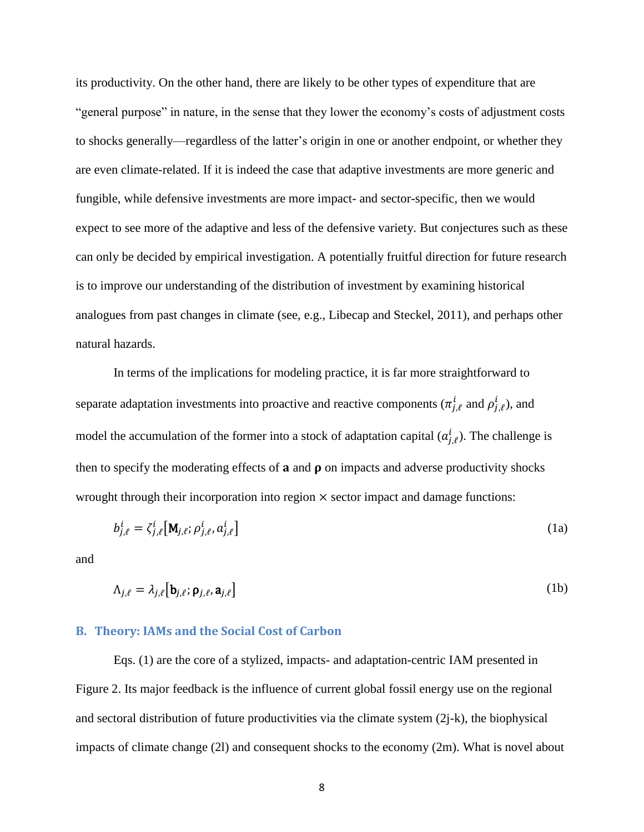its productivity. On the other hand, there are likely to be other types of expenditure that are "general purpose" in nature, in the sense that they lower the economy's costs of adjustment costs to shocks generally—regardless of the latter's origin in one or another endpoint, or whether they are even climate-related. If it is indeed the case that adaptive investments are more generic and fungible, while defensive investments are more impact- and sector-specific, then we would expect to see more of the adaptive and less of the defensive variety. But conjectures such as these can only be decided by empirical investigation. A potentially fruitful direction for future research is to improve our understanding of the distribution of investment by examining historical analogues from past changes in climate (see, e.g., Libecap and Steckel, 2011), and perhaps other natural hazards.

In terms of the implications for modeling practice, it is far more straightforward to separate adaptation investments into proactive and reactive components ( $\pi_{i,\ell}^i$  and  $\rho_{i,\ell}^i$ ), and model the accumulation of the former into a stock of adaptation capital  $(a_{i,\ell}^i)$ . The challenge is then to specify the moderating effects of  $a$  and  $\rho$  on impacts and adverse productivity shocks wrought through their incorporation into region  $\times$  sector impact and damage functions:

$$
b_{j,\ell}^i = \zeta_{j,\ell}^i \left[ \mathbf{M}_{j,\ell}; \rho_{j,\ell}^i, a_{j,\ell}^i \right]
$$
 (1a)

and

$$
\Lambda_{j,\ell} = \lambda_{j,\ell} \left[ \mathbf{b}_{j,\ell}, \mathbf{\rho}_{j,\ell}, \mathbf{a}_{j,\ell} \right] \tag{1b}
$$

#### **B. Theory: IAMs and the Social Cost of Carbon**

Eqs. (1) are the core of a stylized, impacts- and adaptation-centric IAM presented in Figure 2. Its major feedback is the influence of current global fossil energy use on the regional and sectoral distribution of future productivities via the climate system (2j-k), the biophysical impacts of climate change (2l) and consequent shocks to the economy (2m). What is novel about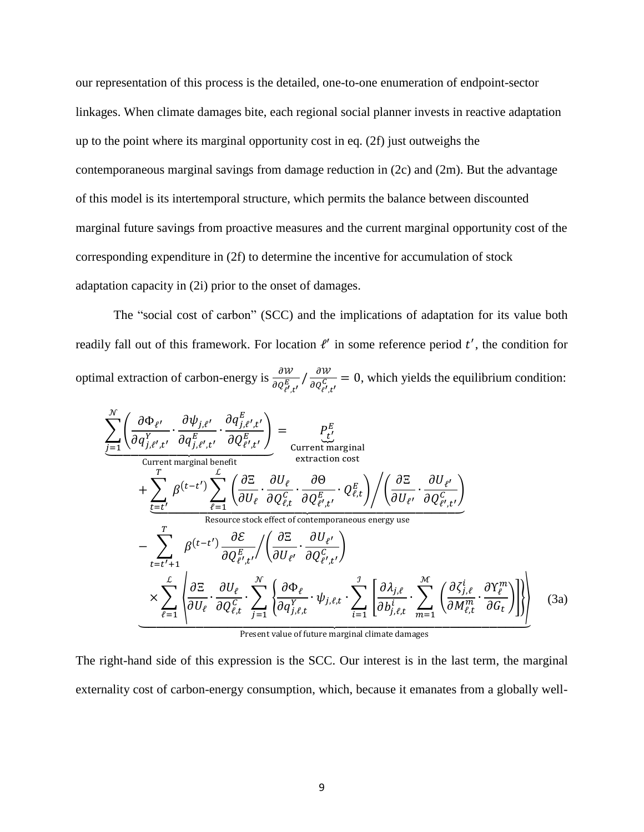our representation of this process is the detailed, one-to-one enumeration of endpoint-sector linkages. When climate damages bite, each regional social planner invests in reactive adaptation up to the point where its marginal opportunity cost in eq. (2f) just outweighs the contemporaneous marginal savings from damage reduction in (2c) and (2m). But the advantage of this model is its intertemporal structure, which permits the balance between discounted marginal future savings from proactive measures and the current marginal opportunity cost of the corresponding expenditure in (2f) to determine the incentive for accumulation of stock adaptation capacity in (2i) prior to the onset of damages.

The "social cost of carbon" (SCC) and the implications of adaptation for its value both readily fall out of this framework. For location  $l'$  in some reference period  $t'$ , the condition for optimal extraction of carbon-energy is  $\frac{\partial W}{\partial Q_{p_1, p_2}}$ д  $\frac{\partial w}{\partial q_{\rho}^C} = 0$ , which yields the equilibrium condition:

$$
\frac{\sum_{j=1}^{N} \left( \frac{\partial \Phi_{\ell'}}{\partial q_{j,\ell',t'}^Y} \cdot \frac{\partial q_{j,\ell',t'}^E}{\partial q_{j,\ell',t'}^E} \cdot \frac{\partial q_{\ell',t'}^E}{\partial Q_{\ell',t'}^E} \right)}{\text{Current marginal benefit}} = \underbrace{P_{\ell'}^E}_{\text{current marginal distribution cost}} + \sum_{\ell=1}^{T} \beta^{(t-t')} \sum_{\ell=1}^{L} \left( \frac{\partial \Sigma}{\partial U_{\ell'}} \cdot \frac{\partial U_{\ell}}{\partial Q_{\ell,t}^C} \cdot \frac{\partial \Theta}{\partial Q_{\ell',t'}^E} \cdot Q_{\ell,t}^E \right) / \left( \frac{\partial \Sigma}{\partial U_{\ell'}} \cdot \frac{\partial U_{\ell'}}{\partial Q_{\ell',t'}^E} \right)}_{\text{Resource stock effect of contemporaneous energy use}} - \sum_{t=t'+1}^{T} \beta^{(t-t')} \frac{\partial \mathcal{E}}{\partial Q_{\ell',t'}^E} / \left( \frac{\partial \Sigma}{\partial U_{\ell'}} \cdot \frac{\partial U_{\ell'}}{\partial Q_{\ell',t'}^C} \right) \\
\times \sum_{\ell=1}^{L} \left( \frac{\partial \Sigma}{\partial U_{\ell'}} \cdot \frac{\partial U_{\ell}}{\partial Q_{\ell,t}^C} \cdot \sum_{j=1}^{N} \left( \frac{\partial \Phi_{\ell}}{\partial q_{j,\ell,t}^Y} \cdot \psi_{j,\ell,t} \cdot \sum_{i=1}^{j} \left[ \frac{\partial \lambda_{j,\ell}}{\partial b_{j,\ell,t}^i} \cdot \sum_{m=1}^{M} \left( \frac{\partial \zeta_{j,\ell}^i}{\partial M_{\ell,t}^m} \cdot \frac{\partial Y_{\ell}^m}{\partial G_{\ell}} \right) \right] \right) \tag{3a}
$$

Present value of future marginal climate damages

The right-hand side of this expression is the SCC. Our interest is in the last term, the marginal externality cost of carbon-energy consumption, which, because it emanates from a globally well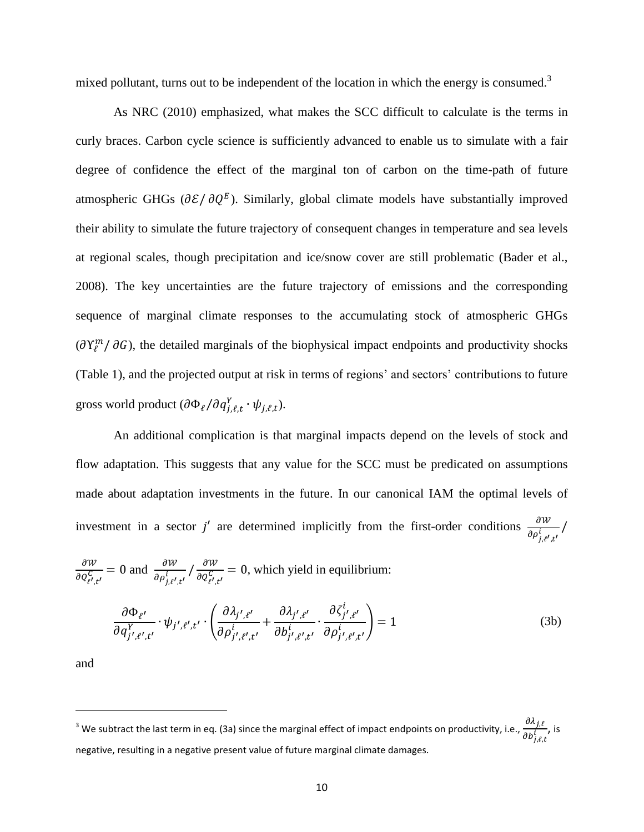mixed pollutant, turns out to be independent of the location in which the energy is consumed.<sup>3</sup>

As NRC (2010) emphasized, what makes the SCC difficult to calculate is the terms in curly braces. Carbon cycle science is sufficiently advanced to enable us to simulate with a fair degree of confidence the effect of the marginal ton of carbon on the time-path of future atmospheric GHGs  $(\partial \mathcal{E}/\partial Q^E)$ . Similarly, global climate models have substantially improved their ability to simulate the future trajectory of consequent changes in temperature and sea levels at regional scales, though precipitation and ice/snow cover are still problematic (Bader et al., 2008). The key uncertainties are the future trajectory of emissions and the corresponding sequence of marginal climate responses to the accumulating stock of atmospheric GHGs  $(\partial Y_l^m / \partial G)$ , the detailed marginals of the biophysical impact endpoints and productivity shocks (Table 1), and the projected output at risk in terms of regions' and sectors' contributions to future gross world product  $(\partial \Phi_{\ell}/\partial q_{i,\ell,t}^Y \cdot \psi_{i,\ell,t}).$ 

An additional complication is that marginal impacts depend on the levels of stock and flow adaptation. This suggests that any value for the SCC must be predicated on assumptions made about adaptation investments in the future. In our canonical IAM the optimal levels of investment in a sector j' are determined implicitly from the first-order conditions  $\frac{\partial W}{\partial \rho_{j,\ell',t'}}$ 

$$
\frac{\partial W}{\partial Q_{\ell',t'}^C} = 0 \text{ and } \frac{\partial W}{\partial \rho_{j,\ell',t'}^i} / \frac{\partial W}{\partial Q_{\ell',t'}^C} = 0 \text{, which yield in equilibrium:}
$$

$$
\frac{\partial \Phi_{\ell'}}{\partial q_{j',\ell',t'}^{Y}} \cdot \psi_{j',\ell',t'} \cdot \left( \frac{\partial \lambda_{j',\ell'}}{\partial \rho_{j',\ell',t'}^{i}} + \frac{\partial \lambda_{j',\ell'}}{\partial b_{j',\ell',t'}^{i}} \cdot \frac{\partial \zeta_{j',\ell'}^{i}}{\partial \rho_{j',\ell',t'}^{i}} \right) = 1
$$
\n(3b)

and

 $\overline{\phantom{a}}$ 

<sup>&</sup>lt;sup>3</sup> We subtract the last term in eq. (3a) since the marginal effect of impact endpoints on productivity, i.e.,  $\frac{\partial}{\partial x}$  $\frac{\partial h_{j,t}^i}{\partial b_{i,\ell}^i}$ , is negative, resulting in a negative present value of future marginal climate damages.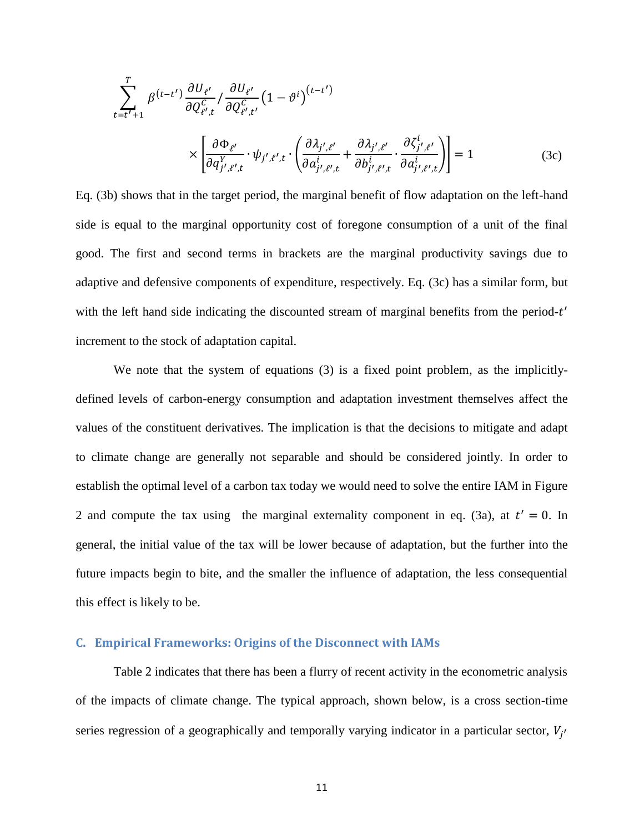$$
\sum_{t=t'+1}^{T} \beta^{(t-t')} \frac{\partial U_{\ell'}}{\partial Q_{\ell',t}^C} / \frac{\partial U_{\ell'}}{\partial Q_{\ell',t'}^C} (1 - \vartheta^i)^{(t-t')} \times \left[ \frac{\partial \Phi_{\ell'}}{\partial q_{j',\ell',t}^{Y}} \cdot \psi_{j',\ell',t} \cdot \left( \frac{\partial \lambda_{j',\ell'}}{\partial a_{j',\ell',t}^{i}} + \frac{\partial \lambda_{j',\ell'}}{\partial b_{j',\ell',t}^{i}} \cdot \frac{\partial \zeta_{j',\ell'}}{\partial a_{j',\ell',t}^{i}} \right) \right] = 1
$$
\n(3c)

Eq. (3b) shows that in the target period, the marginal benefit of flow adaptation on the left-hand side is equal to the marginal opportunity cost of foregone consumption of a unit of the final good. The first and second terms in brackets are the marginal productivity savings due to adaptive and defensive components of expenditure, respectively. Eq. (3c) has a similar form, but with the left hand side indicating the discounted stream of marginal benefits from the period- $t'$ increment to the stock of adaptation capital.

We note that the system of equations (3) is a fixed point problem, as the implicitlydefined levels of carbon-energy consumption and adaptation investment themselves affect the values of the constituent derivatives. The implication is that the decisions to mitigate and adapt to climate change are generally not separable and should be considered jointly. In order to establish the optimal level of a carbon tax today we would need to solve the entire IAM in Figure 2 and compute the tax using the marginal externality component in eq. (3a), at  $t' = 0$ . In general, the initial value of the tax will be lower because of adaptation, but the further into the future impacts begin to bite, and the smaller the influence of adaptation, the less consequential this effect is likely to be.

#### **C. Empirical Frameworks: Origins of the Disconnect with IAMs**

Table 2 indicates that there has been a flurry of recent activity in the econometric analysis of the impacts of climate change. The typical approach, shown below, is a cross section-time series regression of a geographically and temporally varying indicator in a particular sector,  $V_{i'}$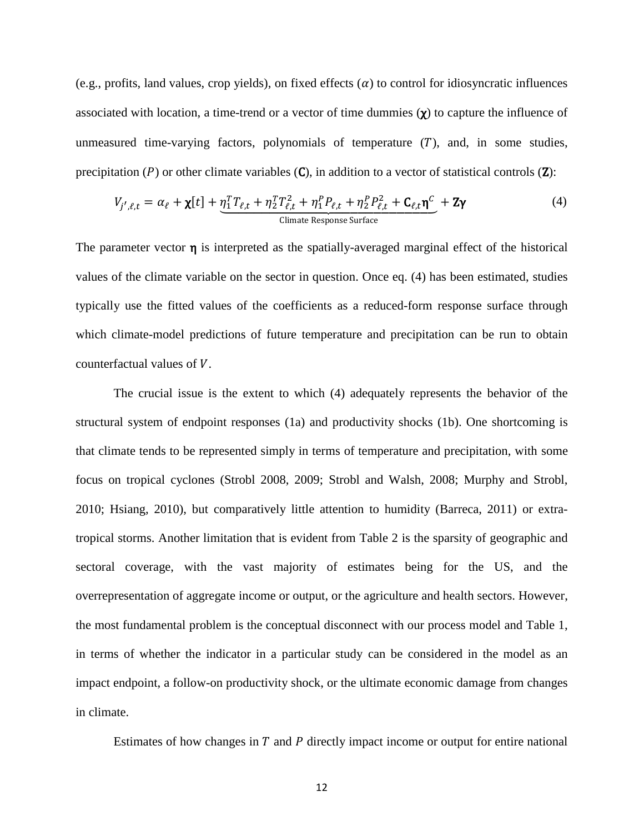(e.g., profits, land values, crop yields), on fixed effects  $\alpha$ ) to control for idiosyncratic influences associated with location, a time-trend or a vector of time dummies  $(\chi)$  to capture the influence of unmeasured time-varying factors, polynomials of temperature  $(T)$ , and, in some studies, precipitation ( $P$ ) or other climate variables ( $C$ ), in addition to a vector of statistical controls ( $Z$ ):

$$
V_{j',\ell,t} = \alpha_{\ell} + \chi[t] + \underbrace{\eta_1^T T_{\ell,t} + \eta_2^T T_{\ell,t}^2 + \eta_1^P P_{\ell,t} + \eta_2^P P_{\ell,t}^2 + C_{\ell,t} \eta^C}_{\text{Climate Response Surface}} + Z\gamma
$$
\n
$$
\tag{4}
$$

The parameter vector  $\eta$  is interpreted as the spatially-averaged marginal effect of the historical values of the climate variable on the sector in question. Once eq. (4) has been estimated, studies typically use the fitted values of the coefficients as a reduced-form response surface through which climate-model predictions of future temperature and precipitation can be run to obtain counterfactual values of  $V$ .

The crucial issue is the extent to which (4) adequately represents the behavior of the structural system of endpoint responses (1a) and productivity shocks (1b). One shortcoming is that climate tends to be represented simply in terms of temperature and precipitation, with some focus on tropical cyclones (Strobl 2008, 2009; Strobl and Walsh, 2008; Murphy and Strobl, 2010; Hsiang, 2010), but comparatively little attention to humidity (Barreca, 2011) or extratropical storms. Another limitation that is evident from Table 2 is the sparsity of geographic and sectoral coverage, with the vast majority of estimates being for the US, and the overrepresentation of aggregate income or output, or the agriculture and health sectors. However, the most fundamental problem is the conceptual disconnect with our process model and Table 1, in terms of whether the indicator in a particular study can be considered in the model as an impact endpoint, a follow-on productivity shock, or the ultimate economic damage from changes in climate.

Estimates of how changes in  $T$  and  $P$  directly impact income or output for entire national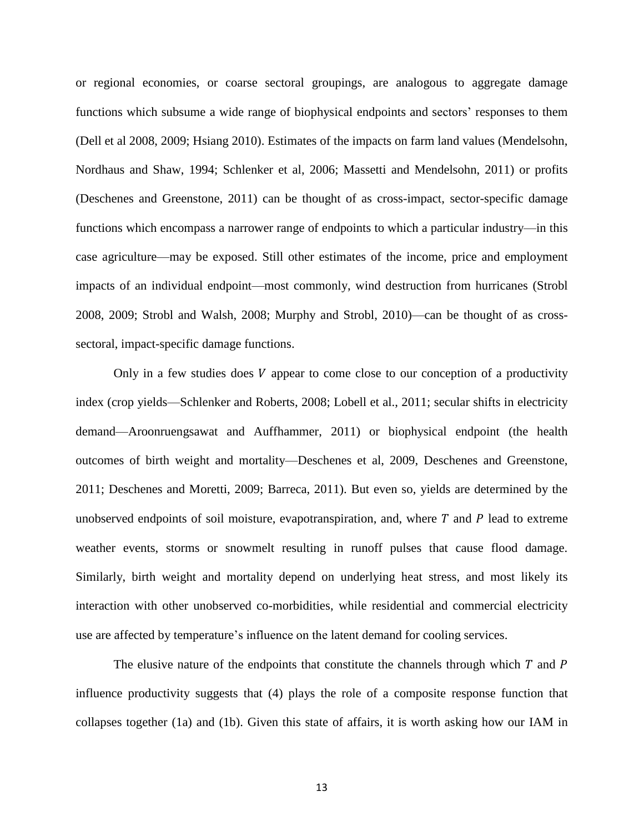or regional economies, or coarse sectoral groupings, are analogous to aggregate damage functions which subsume a wide range of biophysical endpoints and sectors' responses to them (Dell et al 2008, 2009; Hsiang 2010). Estimates of the impacts on farm land values (Mendelsohn, Nordhaus and Shaw, 1994; Schlenker et al, 2006; Massetti and Mendelsohn, 2011) or profits (Deschenes and Greenstone, 2011) can be thought of as cross-impact, sector-specific damage functions which encompass a narrower range of endpoints to which a particular industry—in this case agriculture—may be exposed. Still other estimates of the income, price and employment impacts of an individual endpoint—most commonly, wind destruction from hurricanes (Strobl 2008, 2009; Strobl and Walsh, 2008; Murphy and Strobl, 2010)—can be thought of as crosssectoral, impact-specific damage functions.

Only in a few studies does  $V$  appear to come close to our conception of a productivity index (crop yields—Schlenker and Roberts, 2008; Lobell et al., 2011; secular shifts in electricity demand—Aroonruengsawat and Auffhammer, 2011) or biophysical endpoint (the health outcomes of birth weight and mortality—Deschenes et al, 2009, Deschenes and Greenstone, 2011; Deschenes and Moretti, 2009; Barreca, 2011). But even so, yields are determined by the unobserved endpoints of soil moisture, evapotranspiration, and, where  $T$  and  $P$  lead to extreme weather events, storms or snowmelt resulting in runoff pulses that cause flood damage. Similarly, birth weight and mortality depend on underlying heat stress, and most likely its interaction with other unobserved co-morbidities, while residential and commercial electricity use are affected by temperature's influence on the latent demand for cooling services.

The elusive nature of the endpoints that constitute the channels through which  $T$  and  $P$ influence productivity suggests that (4) plays the role of a composite response function that collapses together (1a) and (1b). Given this state of affairs, it is worth asking how our IAM in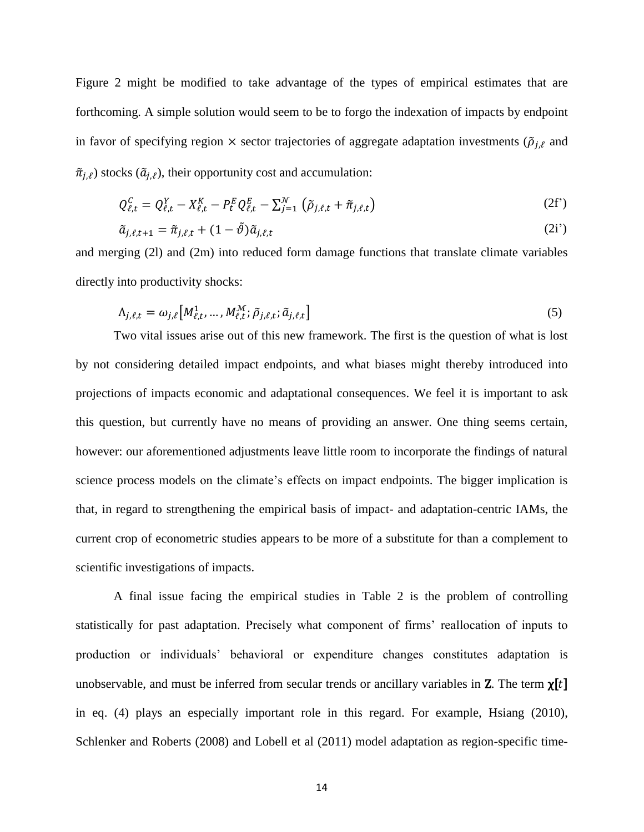Figure 2 might be modified to take advantage of the types of empirical estimates that are forthcoming. A simple solution would seem to be to forgo the indexation of impacts by endpoint in favor of specifying region  $\times$  sector trajectories of aggregate adaptation investments ( $\tilde{\rho}_{i,\ell}$  and  $\tilde{\pi}_{j,\ell}$ ) stocks  $(\tilde{a}_{j,\ell})$ , their opportunity cost and accumulation:

$$
Q_{\ell,t}^C = Q_{\ell,t}^Y - X_{\ell,t}^K - P_t^E Q_{\ell,t}^E - \sum_{j=1}^{\mathcal{N}} (\tilde{\rho}_{j,\ell,t} + \tilde{\pi}_{j,\ell,t})
$$
 (2f')

$$
\tilde{a}_{j,\ell,t+1} = \tilde{\pi}_{j,\ell,t} + (1 - \tilde{\vartheta})\tilde{a}_{j,\ell,t} \tag{2i'}
$$

and merging (2l) and (2m) into reduced form damage functions that translate climate variables directly into productivity shocks:

$$
\Lambda_{j,\ell,t} = \omega_{j,\ell} \left[ M_{\ell,t}^1, \dots, M_{\ell,t}^{\mathcal{M}}; \tilde{\rho}_{j,\ell,t}; \tilde{a}_{j,\ell,t} \right]
$$
\n
$$
\tag{5}
$$

Two vital issues arise out of this new framework. The first is the question of what is lost by not considering detailed impact endpoints, and what biases might thereby introduced into projections of impacts economic and adaptational consequences. We feel it is important to ask this question, but currently have no means of providing an answer. One thing seems certain, however: our aforementioned adjustments leave little room to incorporate the findings of natural science process models on the climate's effects on impact endpoints. The bigger implication is that, in regard to strengthening the empirical basis of impact- and adaptation-centric IAMs, the current crop of econometric studies appears to be more of a substitute for than a complement to scientific investigations of impacts.

A final issue facing the empirical studies in Table 2 is the problem of controlling statistically for past adaptation. Precisely what component of firms' reallocation of inputs to production or individuals' behavioral or expenditure changes constitutes adaptation is unobservable, and must be inferred from secular trends or ancillary variables in **Z**. The term  $\chi[t]$ in eq. (4) plays an especially important role in this regard. For example, Hsiang (2010), Schlenker and Roberts (2008) and Lobell et al (2011) model adaptation as region-specific time-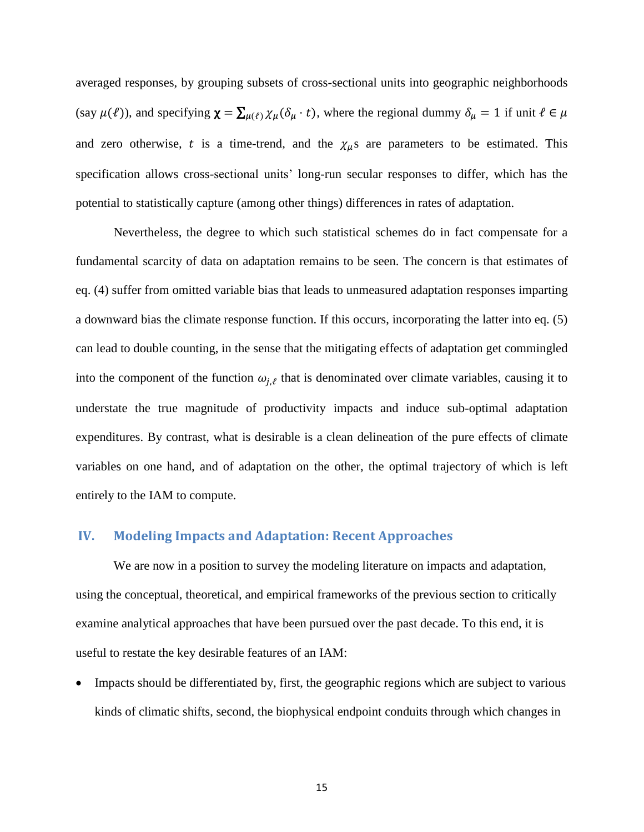averaged responses, by grouping subsets of cross-sectional units into geographic neighborhoods (say  $\mu(\ell)$ ), and specifying  $\chi = \sum_{\mu(\ell)} \chi_{\mu}(\delta_{\mu} \cdot t)$ , where the regional dummy  $\delta_{\mu} = 1$  if unit  $\ell \in \mu$ and zero otherwise, t is a time-trend, and the  $\chi_{\mu}$ s are parameters to be estimated. This specification allows cross-sectional units' long-run secular responses to differ, which has the potential to statistically capture (among other things) differences in rates of adaptation.

Nevertheless, the degree to which such statistical schemes do in fact compensate for a fundamental scarcity of data on adaptation remains to be seen. The concern is that estimates of eq. (4) suffer from omitted variable bias that leads to unmeasured adaptation responses imparting a downward bias the climate response function. If this occurs, incorporating the latter into eq. (5) can lead to double counting, in the sense that the mitigating effects of adaptation get commingled into the component of the function  $\omega_{i,\ell}$  that is denominated over climate variables, causing it to understate the true magnitude of productivity impacts and induce sub-optimal adaptation expenditures. By contrast, what is desirable is a clean delineation of the pure effects of climate variables on one hand, and of adaptation on the other, the optimal trajectory of which is left entirely to the IAM to compute.

#### **IV. Modeling Impacts and Adaptation: Recent Approaches**

We are now in a position to survey the modeling literature on impacts and adaptation, using the conceptual, theoretical, and empirical frameworks of the previous section to critically examine analytical approaches that have been pursued over the past decade. To this end, it is useful to restate the key desirable features of an IAM:

 Impacts should be differentiated by, first, the geographic regions which are subject to various kinds of climatic shifts, second, the biophysical endpoint conduits through which changes in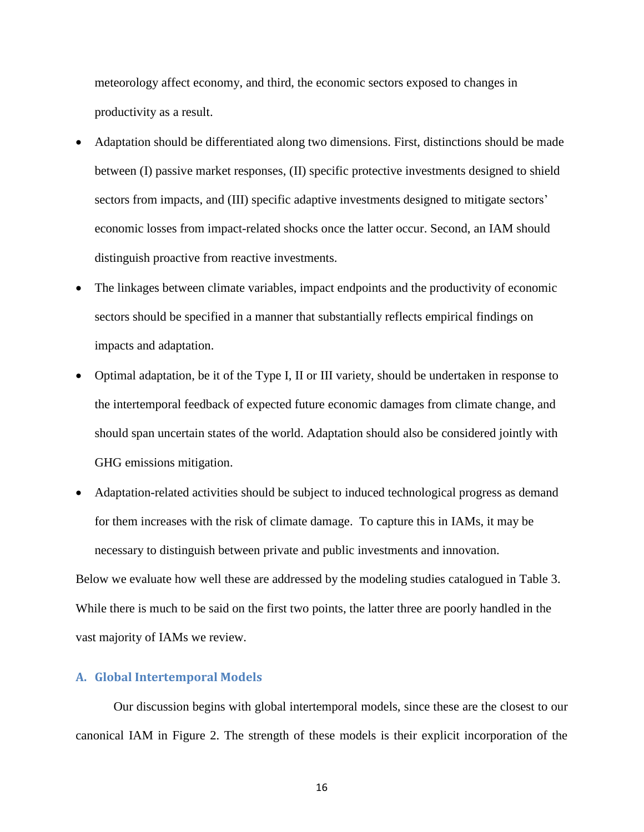meteorology affect economy, and third, the economic sectors exposed to changes in productivity as a result.

- Adaptation should be differentiated along two dimensions. First, distinctions should be made between (I) passive market responses, (II) specific protective investments designed to shield sectors from impacts, and (III) specific adaptive investments designed to mitigate sectors' economic losses from impact-related shocks once the latter occur. Second, an IAM should distinguish proactive from reactive investments.
- The linkages between climate variables, impact endpoints and the productivity of economic sectors should be specified in a manner that substantially reflects empirical findings on impacts and adaptation.
- Optimal adaptation, be it of the Type I, II or III variety, should be undertaken in response to the intertemporal feedback of expected future economic damages from climate change, and should span uncertain states of the world. Adaptation should also be considered jointly with GHG emissions mitigation.
- Adaptation-related activities should be subject to induced technological progress as demand for them increases with the risk of climate damage. To capture this in IAMs, it may be necessary to distinguish between private and public investments and innovation. Below we evaluate how well these are addressed by the modeling studies catalogued in Table 3. While there is much to be said on the first two points, the latter three are poorly handled in the vast majority of IAMs we review.

#### **A. Global Intertemporal Models**

Our discussion begins with global intertemporal models, since these are the closest to our canonical IAM in Figure 2. The strength of these models is their explicit incorporation of the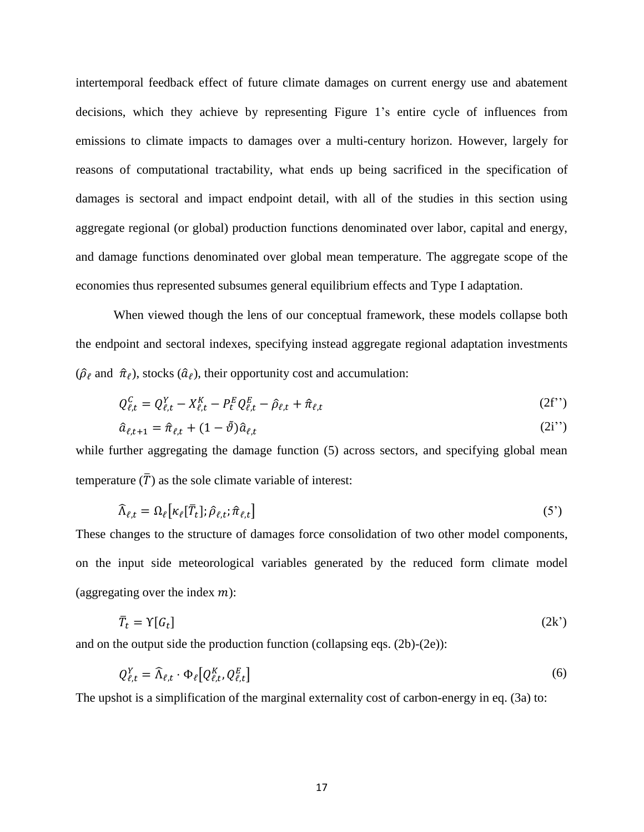intertemporal feedback effect of future climate damages on current energy use and abatement decisions, which they achieve by representing Figure 1's entire cycle of influences from emissions to climate impacts to damages over a multi-century horizon. However, largely for reasons of computational tractability, what ends up being sacrificed in the specification of damages is sectoral and impact endpoint detail, with all of the studies in this section using aggregate regional (or global) production functions denominated over labor, capital and energy, and damage functions denominated over global mean temperature. The aggregate scope of the economies thus represented subsumes general equilibrium effects and Type I adaptation.

When viewed though the lens of our conceptual framework, these models collapse both the endpoint and sectoral indexes, specifying instead aggregate regional adaptation investments  $(\hat{\rho}_{\ell}$  and  $\hat{\pi}_{\ell}$ ), stocks  $(\hat{a}_{\ell})$ , their opportunity cost and accumulation:

$$
Q_{\ell,t}^C = Q_{\ell,t}^Y - X_{\ell,t}^K - P_t^E Q_{\ell,t}^E - \hat{\rho}_{\ell,t} + \hat{\pi}_{\ell,t}
$$
\n(2f'')

$$
\hat{a}_{\ell,t+1} = \hat{\pi}_{\ell,t} + (1 - \tilde{\vartheta})\hat{a}_{\ell,t} \tag{2i'}
$$

while further aggregating the damage function  $(5)$  across sectors, and specifying global mean temperature  $(\overline{T})$  as the sole climate variable of interest:

$$
\widehat{\Lambda}_{\ell,t} = \Omega_{\ell} \big[ \kappa_{\ell} [\overline{T}_t]; \widehat{\rho}_{\ell,t}; \widehat{\pi}_{\ell,t} \big] \tag{5'}
$$

These changes to the structure of damages force consolidation of two other model components, on the input side meteorological variables generated by the reduced form climate model (aggregating over the index  $m$ ):

$$
\bar{T}_t = \Upsilon[G_t] \tag{2k'}
$$

and on the output side the production function (collapsing eqs. (2b)-(2e)):

$$
Q_{\ell,t}^Y = \widehat{\Lambda}_{\ell,t} \cdot \Phi_{\ell} \big[ Q_{\ell,t}^K, Q_{\ell,t}^E \big] \tag{6}
$$

The upshot is a simplification of the marginal externality cost of carbon-energy in eq. (3a) to: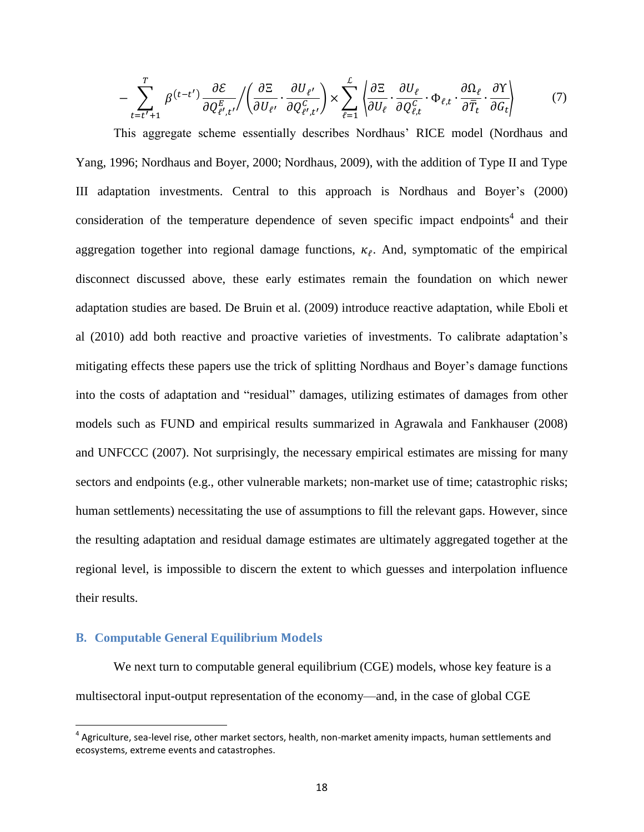$$
-\sum_{t=t'+1}^{T} \beta^{(t-t')} \frac{\partial \mathcal{E}}{\partial Q_{\ell',t'}^{E}} / \left( \frac{\partial \Xi}{\partial U_{\ell'}} \cdot \frac{\partial U_{\ell'}}{\partial Q_{\ell',t'}^{C}} \right) \times \sum_{\ell=1}^{L} \left( \frac{\partial \Xi}{\partial U_{\ell}} \cdot \frac{\partial U_{\ell}}{\partial Q_{\ell,t}^{C}} \cdot \Phi_{\ell,t} \cdot \frac{\partial \Omega_{\ell}}{\partial \overline{T}_{t}} \cdot \frac{\partial Y}{\partial G_{t}} \right) \tag{7}
$$

This aggregate scheme essentially describes Nordhaus' RICE model (Nordhaus and Yang, 1996; Nordhaus and Boyer, 2000; Nordhaus, 2009), with the addition of Type II and Type III adaptation investments. Central to this approach is Nordhaus and Boyer's (2000) consideration of the temperature dependence of seven specific impact endpoints<sup>4</sup> and their aggregation together into regional damage functions,  $\kappa_{\ell}$ . And, symptomatic of the empirical disconnect discussed above, these early estimates remain the foundation on which newer adaptation studies are based. De Bruin et al. (2009) introduce reactive adaptation, while Eboli et al (2010) add both reactive and proactive varieties of investments. To calibrate adaptation's mitigating effects these papers use the trick of splitting Nordhaus and Boyer's damage functions into the costs of adaptation and "residual" damages, utilizing estimates of damages from other models such as FUND and empirical results summarized in Agrawala and Fankhauser (2008) and UNFCCC (2007). Not surprisingly, the necessary empirical estimates are missing for many sectors and endpoints (e.g., other vulnerable markets; non-market use of time; catastrophic risks; human settlements) necessitating the use of assumptions to fill the relevant gaps. However, since the resulting adaptation and residual damage estimates are ultimately aggregated together at the regional level, is impossible to discern the extent to which guesses and interpolation influence their results.

#### **B. Computable General Equilibrium Models**

l

We next turn to computable general equilibrium (CGE) models, whose key feature is a multisectoral input-output representation of the economy—and, in the case of global CGE

 $^4$  Agriculture, sea-level rise, other market sectors, health, non-market amenity impacts, human settlements and ecosystems, extreme events and catastrophes.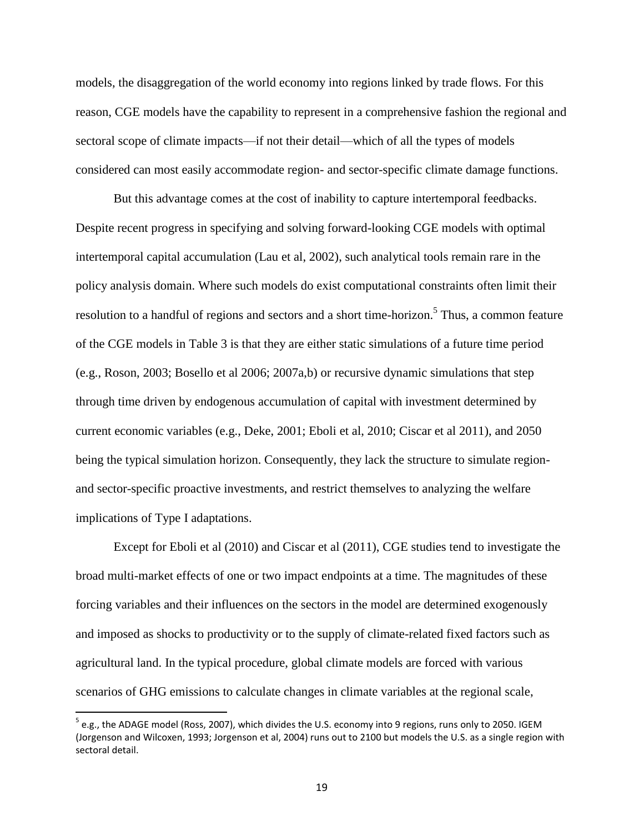models, the disaggregation of the world economy into regions linked by trade flows. For this reason, CGE models have the capability to represent in a comprehensive fashion the regional and sectoral scope of climate impacts—if not their detail—which of all the types of models considered can most easily accommodate region- and sector-specific climate damage functions.

But this advantage comes at the cost of inability to capture intertemporal feedbacks. Despite recent progress in specifying and solving forward-looking CGE models with optimal intertemporal capital accumulation (Lau et al, 2002), such analytical tools remain rare in the policy analysis domain. Where such models do exist computational constraints often limit their resolution to a handful of regions and sectors and a short time-horizon.<sup>5</sup> Thus, a common feature of the CGE models in Table 3 is that they are either static simulations of a future time period (e.g., Roson, 2003; Bosello et al 2006; 2007a,b) or recursive dynamic simulations that step through time driven by endogenous accumulation of capital with investment determined by current economic variables (e.g., Deke, 2001; Eboli et al, 2010; Ciscar et al 2011), and 2050 being the typical simulation horizon. Consequently, they lack the structure to simulate regionand sector-specific proactive investments, and restrict themselves to analyzing the welfare implications of Type I adaptations.

Except for Eboli et al (2010) and Ciscar et al (2011), CGE studies tend to investigate the broad multi-market effects of one or two impact endpoints at a time. The magnitudes of these forcing variables and their influences on the sectors in the model are determined exogenously and imposed as shocks to productivity or to the supply of climate-related fixed factors such as agricultural land. In the typical procedure, global climate models are forced with various scenarios of GHG emissions to calculate changes in climate variables at the regional scale,

 $\overline{\phantom{a}}$ 

 $^5$  e.g., the ADAGE model (Ross, 2007), which divides the U.S. economy into 9 regions, runs only to 2050. IGEM (Jorgenson and Wilcoxen, 1993; Jorgenson et al, 2004) runs out to 2100 but models the U.S. as a single region with sectoral detail.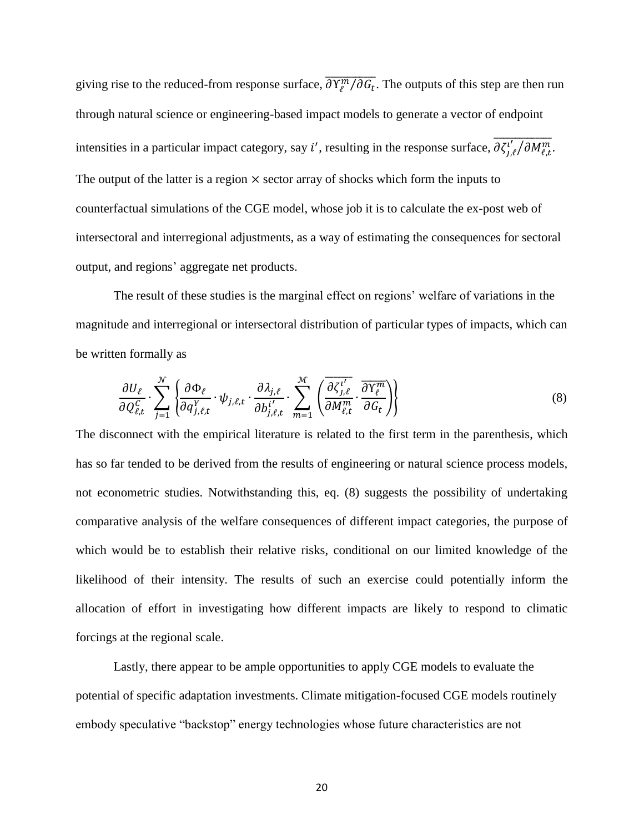giving rise to the reduced-from response surface,  $\frac{\partial \overline{Y}_{\ell}^{m}/\partial G_t}{\partial \overline{Y}_{\ell}}$ . The outputs of this step are then run through natural science or engineering-based impact models to generate a vector of endpoint intensities in a particular impact category, say *i'*, resulting in the response surface,  $\frac{\partial \zeta^{l'}_i}{\partial M^m_{f}}$ . The output of the latter is a region  $\times$  sector array of shocks which form the inputs to counterfactual simulations of the CGE model, whose job it is to calculate the ex-post web of intersectoral and interregional adjustments, as a way of estimating the consequences for sectoral output, and regions' aggregate net products.

The result of these studies is the marginal effect on regions' welfare of variations in the magnitude and interregional or intersectoral distribution of particular types of impacts, which can be written formally as

$$
\frac{\partial U_{\ell}}{\partial Q_{\ell,t}^C} \cdot \sum_{j=1}^{\mathcal{N}} \left\{ \frac{\partial \Phi_{\ell}}{\partial q_{j,\ell,t}^Y} \cdot \psi_{j,\ell,t} \cdot \frac{\partial \lambda_{j,\ell}}{\partial b_{j,\ell,t}^{i'}} \cdot \sum_{m=1}^{\mathcal{M}} \left( \frac{\overline{\partial \zeta_{j,\ell}^{i'}}}{\partial M_{\ell,t}^m} \cdot \frac{\overline{\partial Y_{\ell}^m}}{\partial G_t} \right) \right\}
$$
(8)

The disconnect with the empirical literature is related to the first term in the parenthesis, which has so far tended to be derived from the results of engineering or natural science process models, not econometric studies. Notwithstanding this, eq. (8) suggests the possibility of undertaking comparative analysis of the welfare consequences of different impact categories, the purpose of which would be to establish their relative risks, conditional on our limited knowledge of the likelihood of their intensity. The results of such an exercise could potentially inform the allocation of effort in investigating how different impacts are likely to respond to climatic forcings at the regional scale.

Lastly, there appear to be ample opportunities to apply CGE models to evaluate the potential of specific adaptation investments. Climate mitigation-focused CGE models routinely embody speculative "backstop" energy technologies whose future characteristics are not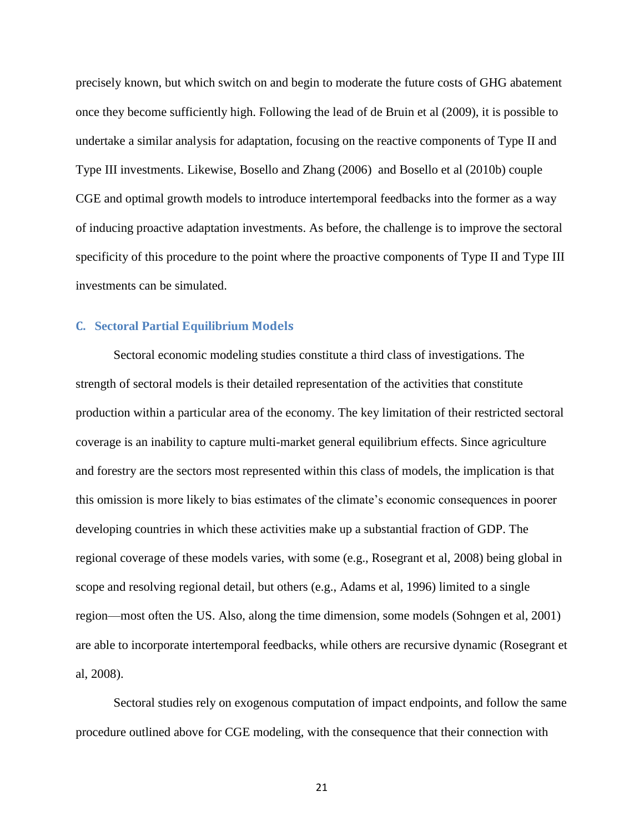precisely known, but which switch on and begin to moderate the future costs of GHG abatement once they become sufficiently high. Following the lead of de Bruin et al (2009), it is possible to undertake a similar analysis for adaptation, focusing on the reactive components of Type II and Type III investments. Likewise, Bosello and Zhang (2006) and Bosello et al (2010b) couple CGE and optimal growth models to introduce intertemporal feedbacks into the former as a way of inducing proactive adaptation investments. As before, the challenge is to improve the sectoral specificity of this procedure to the point where the proactive components of Type II and Type III investments can be simulated.

#### **C. Sectoral Partial Equilibrium Models**

Sectoral economic modeling studies constitute a third class of investigations. The strength of sectoral models is their detailed representation of the activities that constitute production within a particular area of the economy. The key limitation of their restricted sectoral coverage is an inability to capture multi-market general equilibrium effects. Since agriculture and forestry are the sectors most represented within this class of models, the implication is that this omission is more likely to bias estimates of the climate's economic consequences in poorer developing countries in which these activities make up a substantial fraction of GDP. The regional coverage of these models varies, with some (e.g., Rosegrant et al, 2008) being global in scope and resolving regional detail, but others (e.g., Adams et al, 1996) limited to a single region—most often the US. Also, along the time dimension, some models (Sohngen et al, 2001) are able to incorporate intertemporal feedbacks, while others are recursive dynamic (Rosegrant et al, 2008).

Sectoral studies rely on exogenous computation of impact endpoints, and follow the same procedure outlined above for CGE modeling, with the consequence that their connection with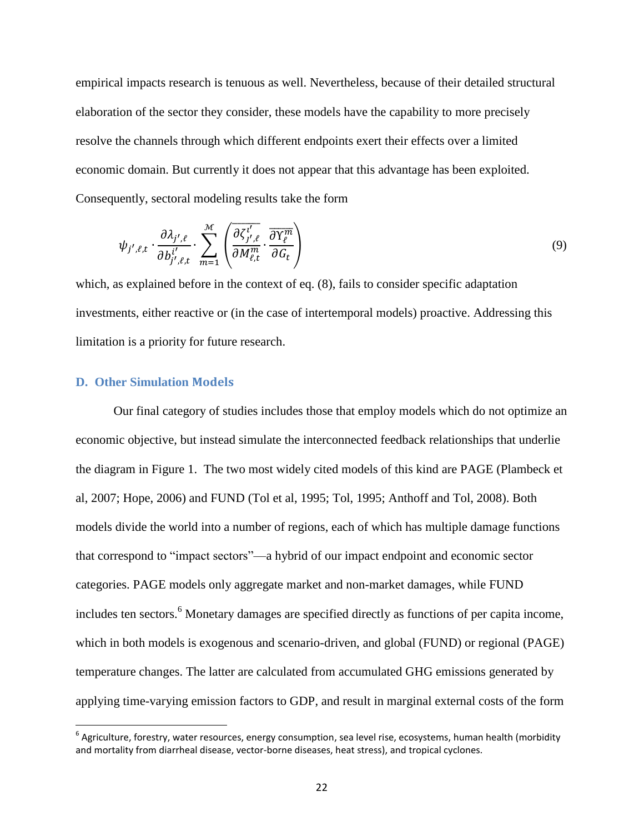empirical impacts research is tenuous as well. Nevertheless, because of their detailed structural elaboration of the sector they consider, these models have the capability to more precisely resolve the channels through which different endpoints exert their effects over a limited economic domain. But currently it does not appear that this advantage has been exploited. Consequently, sectoral modeling results take the form

$$
\psi_{j',\ell,t} \cdot \frac{\partial \lambda_{j',\ell}}{\partial b_{j',\ell,t}^{i'}} \cdot \sum_{m=1}^{\mathcal{M}} \left( \frac{\partial \zeta_{j',\ell}^{i'}}{\partial M_{\ell,t}^m} \cdot \frac{\partial Y_{\ell}^m}{\partial G_t} \right) \tag{9}
$$

which, as explained before in the context of eq. (8), fails to consider specific adaptation investments, either reactive or (in the case of intertemporal models) proactive. Addressing this limitation is a priority for future research.

#### **D. Other Simulation Models**

l

Our final category of studies includes those that employ models which do not optimize an economic objective, but instead simulate the interconnected feedback relationships that underlie the diagram in Figure 1. The two most widely cited models of this kind are PAGE (Plambeck et al, 2007; Hope, 2006) and FUND (Tol et al, 1995; Tol, 1995; Anthoff and Tol, 2008). Both models divide the world into a number of regions, each of which has multiple damage functions that correspond to "impact sectors"—a hybrid of our impact endpoint and economic sector categories. PAGE models only aggregate market and non-market damages, while FUND includes ten sectors.<sup>6</sup> Monetary damages are specified directly as functions of per capita income, which in both models is exogenous and scenario-driven, and global (FUND) or regional (PAGE) temperature changes. The latter are calculated from accumulated GHG emissions generated by applying time-varying emission factors to GDP, and result in marginal external costs of the form

 $^6$  Agriculture, forestry, water resources, energy consumption, sea level rise, ecosystems, human health (morbidity and mortality from diarrheal disease, vector-borne diseases, heat stress), and tropical cyclones.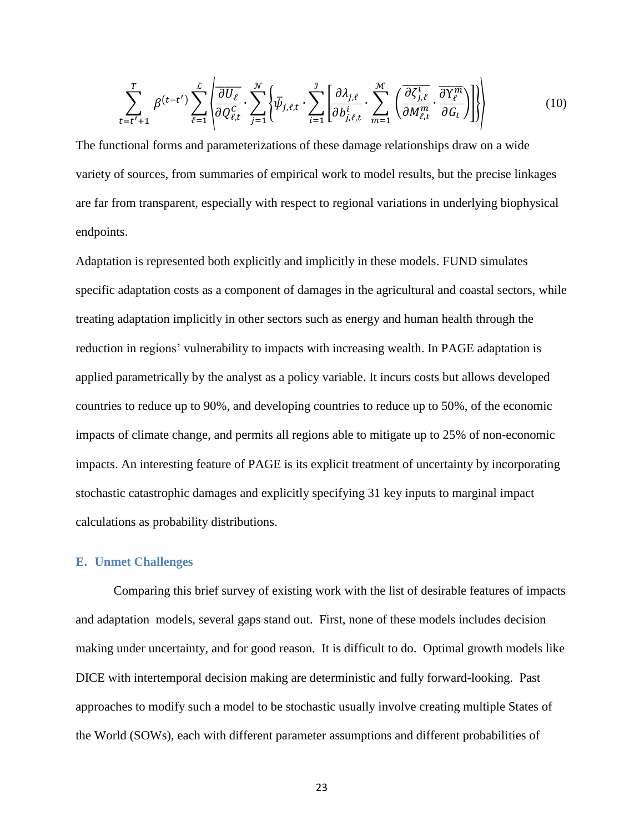$$
\sum_{t=t'+1}^{T} \beta^{(t-t')} \sum_{\ell=1}^{L} \left\{ \frac{\partial U_{\ell}}{\partial Q_{\ell,t}^{C}} \cdot \sum_{j=1}^{N} \left\{ \bar{\psi}_{j,\ell,t} \cdot \sum_{i=1}^{J} \left[ \frac{\partial \lambda_{j,\ell}}{\partial b_{j,\ell,t}^{i}} \cdot \sum_{m=1}^{M} \left( \frac{\overline{\partial \zeta_{j,\ell}^{l}}}{\partial M_{\ell,t}^{m}} \cdot \frac{\overline{\partial Y_{\ell}^{m}}}{\partial G_{t}} \right) \right] \right\}
$$
(10)

The functional forms and parameterizations of these damage relationships draw on a wide variety of sources, from summaries of empirical work to model results, but the precise linkages are far from transparent, especially with respect to regional variations in underlying biophysical endpoints.

Adaptation is represented both explicitly and implicitly in these models. FUND simulates specific adaptation costs as a component of damages in the agricultural and coastal sectors, while treating adaptation implicitly in other sectors such as energy and human health through the reduction in regions' vulnerability to impacts with increasing wealth. In PAGE adaptation is applied parametrically by the analyst as a policy variable. It incurs costs but allows developed countries to reduce up to 90%, and developing countries to reduce up to 50%, of the economic impacts of climate change, and permits all regions able to mitigate up to 25% of non-economic impacts. An interesting feature of PAGE is its explicit treatment of uncertainty by incorporating stochastic catastrophic damages and explicitly specifying 31 key inputs to marginal impact calculations as probability distributions.

#### **E. Unmet Challenges**

Comparing this brief survey of existing work with the list of desirable features of impacts and adaptation models, several gaps stand out. First, none of these models includes decision making under uncertainty, and for good reason. It is difficult to do. Optimal growth models like DICE with intertemporal decision making are deterministic and fully forward-looking. Past approaches to modify such a model to be stochastic usually involve creating multiple States of the World (SOWs), each with different parameter assumptions and different probabilities of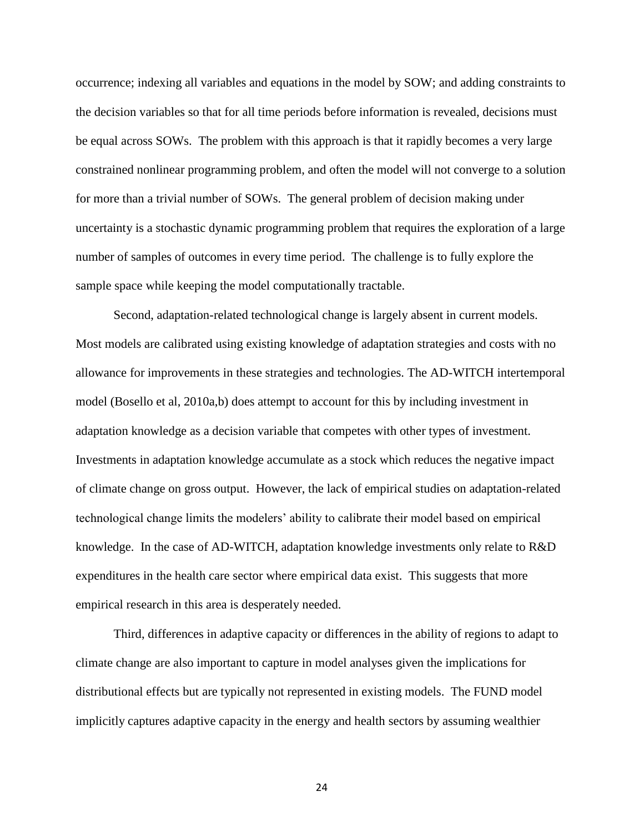occurrence; indexing all variables and equations in the model by SOW; and adding constraints to the decision variables so that for all time periods before information is revealed, decisions must be equal across SOWs. The problem with this approach is that it rapidly becomes a very large constrained nonlinear programming problem, and often the model will not converge to a solution for more than a trivial number of SOWs. The general problem of decision making under uncertainty is a stochastic dynamic programming problem that requires the exploration of a large number of samples of outcomes in every time period. The challenge is to fully explore the sample space while keeping the model computationally tractable.

Second, adaptation-related technological change is largely absent in current models. Most models are calibrated using existing knowledge of adaptation strategies and costs with no allowance for improvements in these strategies and technologies. The AD-WITCH intertemporal model (Bosello et al, 2010a,b) does attempt to account for this by including investment in adaptation knowledge as a decision variable that competes with other types of investment. Investments in adaptation knowledge accumulate as a stock which reduces the negative impact of climate change on gross output. However, the lack of empirical studies on adaptation-related technological change limits the modelers' ability to calibrate their model based on empirical knowledge. In the case of AD-WITCH, adaptation knowledge investments only relate to R&D expenditures in the health care sector where empirical data exist. This suggests that more empirical research in this area is desperately needed.

Third, differences in adaptive capacity or differences in the ability of regions to adapt to climate change are also important to capture in model analyses given the implications for distributional effects but are typically not represented in existing models. The FUND model implicitly captures adaptive capacity in the energy and health sectors by assuming wealthier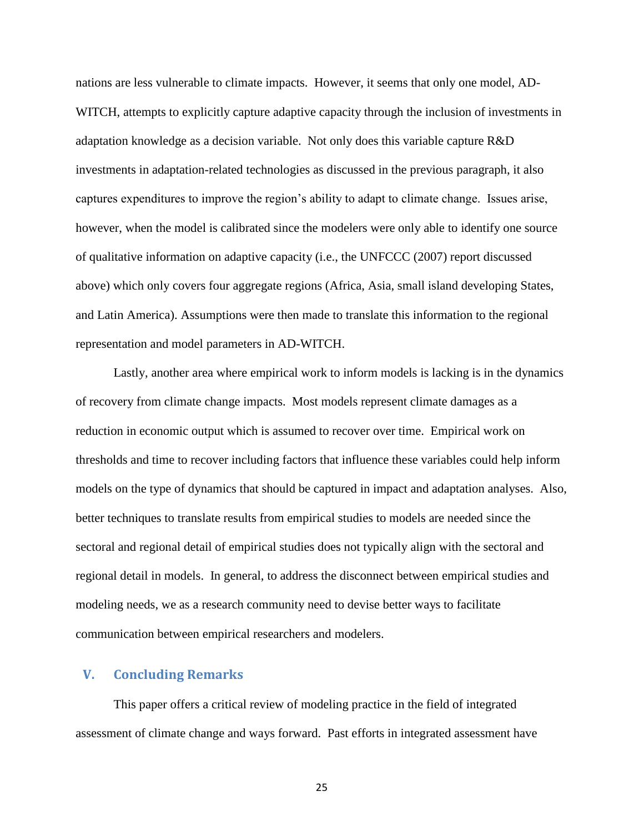nations are less vulnerable to climate impacts. However, it seems that only one model, AD-WITCH, attempts to explicitly capture adaptive capacity through the inclusion of investments in adaptation knowledge as a decision variable. Not only does this variable capture R&D investments in adaptation-related technologies as discussed in the previous paragraph, it also captures expenditures to improve the region's ability to adapt to climate change. Issues arise, however, when the model is calibrated since the modelers were only able to identify one source of qualitative information on adaptive capacity (i.e., the UNFCCC (2007) report discussed above) which only covers four aggregate regions (Africa, Asia, small island developing States, and Latin America). Assumptions were then made to translate this information to the regional representation and model parameters in AD-WITCH.

Lastly, another area where empirical work to inform models is lacking is in the dynamics of recovery from climate change impacts. Most models represent climate damages as a reduction in economic output which is assumed to recover over time. Empirical work on thresholds and time to recover including factors that influence these variables could help inform models on the type of dynamics that should be captured in impact and adaptation analyses. Also, better techniques to translate results from empirical studies to models are needed since the sectoral and regional detail of empirical studies does not typically align with the sectoral and regional detail in models. In general, to address the disconnect between empirical studies and modeling needs, we as a research community need to devise better ways to facilitate communication between empirical researchers and modelers.

#### **V. Concluding Remarks**

This paper offers a critical review of modeling practice in the field of integrated assessment of climate change and ways forward. Past efforts in integrated assessment have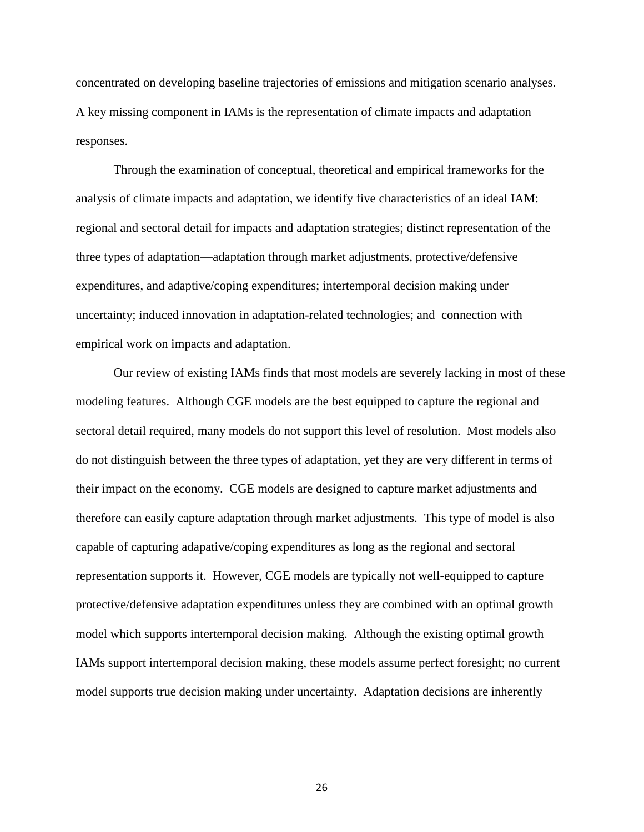concentrated on developing baseline trajectories of emissions and mitigation scenario analyses. A key missing component in IAMs is the representation of climate impacts and adaptation responses.

Through the examination of conceptual, theoretical and empirical frameworks for the analysis of climate impacts and adaptation, we identify five characteristics of an ideal IAM: regional and sectoral detail for impacts and adaptation strategies; distinct representation of the three types of adaptation—adaptation through market adjustments, protective/defensive expenditures, and adaptive/coping expenditures; intertemporal decision making under uncertainty; induced innovation in adaptation-related technologies; and connection with empirical work on impacts and adaptation.

Our review of existing IAMs finds that most models are severely lacking in most of these modeling features. Although CGE models are the best equipped to capture the regional and sectoral detail required, many models do not support this level of resolution. Most models also do not distinguish between the three types of adaptation, yet they are very different in terms of their impact on the economy. CGE models are designed to capture market adjustments and therefore can easily capture adaptation through market adjustments. This type of model is also capable of capturing adapative/coping expenditures as long as the regional and sectoral representation supports it. However, CGE models are typically not well-equipped to capture protective/defensive adaptation expenditures unless they are combined with an optimal growth model which supports intertemporal decision making. Although the existing optimal growth IAMs support intertemporal decision making, these models assume perfect foresight; no current model supports true decision making under uncertainty. Adaptation decisions are inherently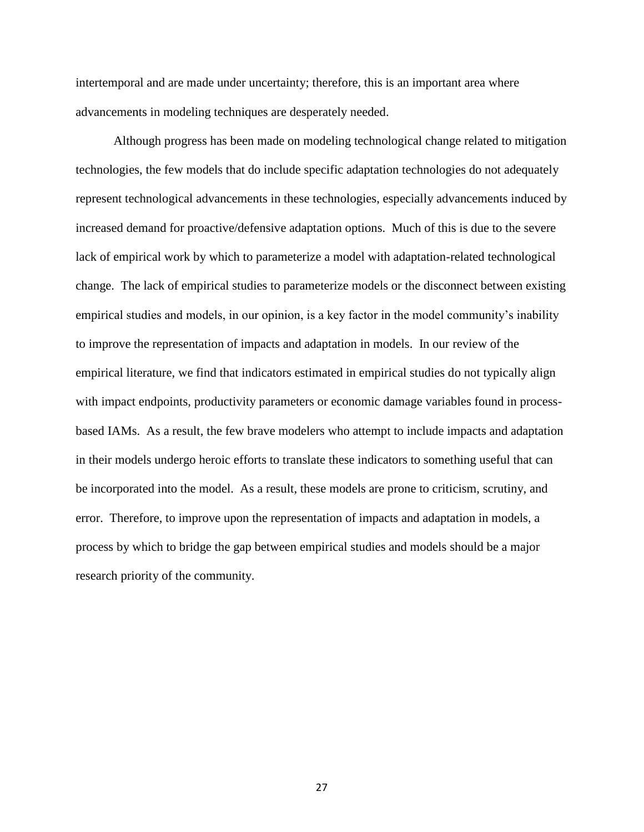intertemporal and are made under uncertainty; therefore, this is an important area where advancements in modeling techniques are desperately needed.

Although progress has been made on modeling technological change related to mitigation technologies, the few models that do include specific adaptation technologies do not adequately represent technological advancements in these technologies, especially advancements induced by increased demand for proactive/defensive adaptation options. Much of this is due to the severe lack of empirical work by which to parameterize a model with adaptation-related technological change. The lack of empirical studies to parameterize models or the disconnect between existing empirical studies and models, in our opinion, is a key factor in the model community's inability to improve the representation of impacts and adaptation in models. In our review of the empirical literature, we find that indicators estimated in empirical studies do not typically align with impact endpoints, productivity parameters or economic damage variables found in processbased IAMs. As a result, the few brave modelers who attempt to include impacts and adaptation in their models undergo heroic efforts to translate these indicators to something useful that can be incorporated into the model. As a result, these models are prone to criticism, scrutiny, and error. Therefore, to improve upon the representation of impacts and adaptation in models, a process by which to bridge the gap between empirical studies and models should be a major research priority of the community.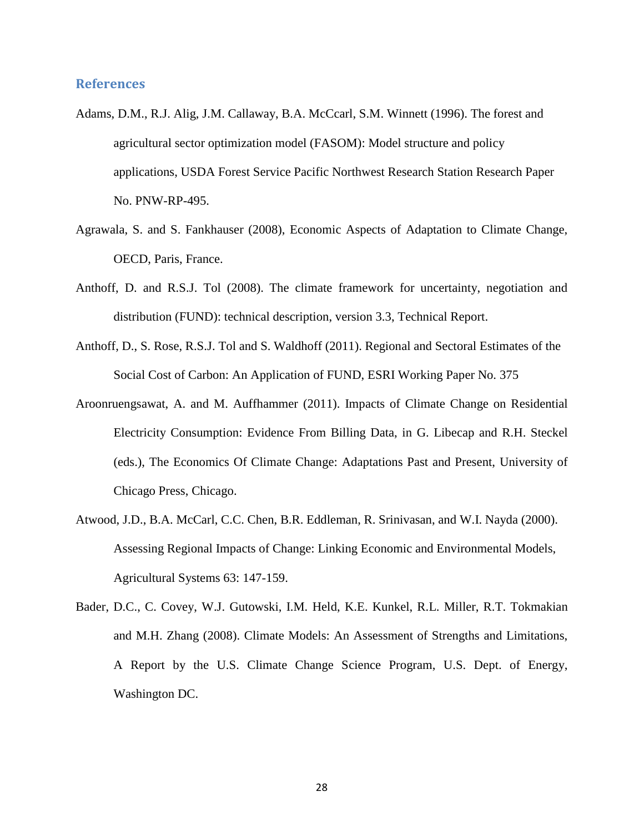#### **References**

- Adams, D.M., R.J. Alig, J.M. Callaway, B.A. McCcarl, S.M. Winnett (1996). The forest and agricultural sector optimization model (FASOM): Model structure and policy applications, USDA Forest Service Pacific Northwest Research Station Research Paper No. PNW-RP-495.
- Agrawala, S. and S. Fankhauser (2008), Economic Aspects of Adaptation to Climate Change, OECD, Paris, France.
- Anthoff, D. and R.S.J. Tol (2008). The climate framework for uncertainty, negotiation and distribution (FUND): technical description, version 3.3, Technical Report.
- Anthoff, D., S. Rose, R.S.J. Tol and S. Waldhoff (2011). Regional and Sectoral Estimates of the Social Cost of Carbon: An Application of FUND, ESRI Working Paper No. 375
- Aroonruengsawat, A. and M. Auffhammer (2011). Impacts of Climate Change on Residential Electricity Consumption: Evidence From Billing Data, in G. Libecap and R.H. Steckel (eds.), The Economics Of Climate Change: Adaptations Past and Present, University of Chicago Press, Chicago.
- Atwood, J.D., B.A. McCarl, C.C. Chen, B.R. Eddleman, R. Srinivasan, and W.I. Nayda (2000). Assessing Regional Impacts of Change: Linking Economic and Environmental Models, Agricultural Systems 63: 147-159.
- Bader, D.C., C. Covey, W.J. Gutowski, I.M. Held, K.E. Kunkel, R.L. Miller, R.T. Tokmakian and M.H. Zhang (2008). Climate Models: An Assessment of Strengths and Limitations, A Report by the U.S. Climate Change Science Program, U.S. Dept. of Energy, Washington DC.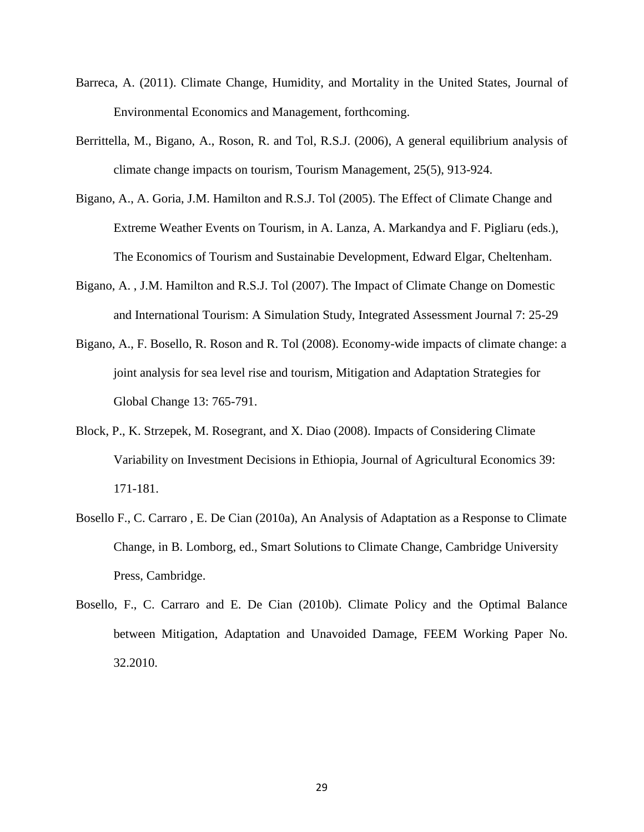- Barreca, A. (2011). Climate Change, Humidity, and Mortality in the United States, Journal of Environmental Economics and Management, forthcoming.
- Berrittella, M., Bigano, A., Roson, R. and Tol, R.S.J. (2006), A general equilibrium analysis of climate change impacts on tourism, Tourism Management, 25(5), 913-924.
- Bigano, A., A. Goria, J.M. Hamilton and R.S.J. Tol (2005). The Effect of Climate Change and Extreme Weather Events on Tourism, in A. Lanza, A. Markandya and F. Pigliaru (eds.), The Economics of Tourism and Sustainabie Development, Edward Elgar, Cheltenham.
- Bigano, A. , J.M. Hamilton and R.S.J. Tol (2007). The Impact of Climate Change on Domestic and International Tourism: A Simulation Study, Integrated Assessment Journal 7: 25-29
- Bigano, A., F. Bosello, R. Roson and R. Tol (2008). Economy-wide impacts of climate change: a joint analysis for sea level rise and tourism, Mitigation and Adaptation Strategies for Global Change 13: 765-791.
- Block, P., K. Strzepek, M. Rosegrant, and X. Diao (2008). Impacts of Considering Climate Variability on Investment Decisions in Ethiopia, Journal of Agricultural Economics 39: 171-181.
- Bosello F., C. Carraro , E. De Cian (2010a), An Analysis of Adaptation as a Response to Climate Change, in B. Lomborg, ed., Smart Solutions to Climate Change, Cambridge University Press, Cambridge.
- Bosello, F., C. Carraro and E. De Cian (2010b). Climate Policy and the Optimal Balance between Mitigation, Adaptation and Unavoided Damage, FEEM Working Paper No. 32.2010.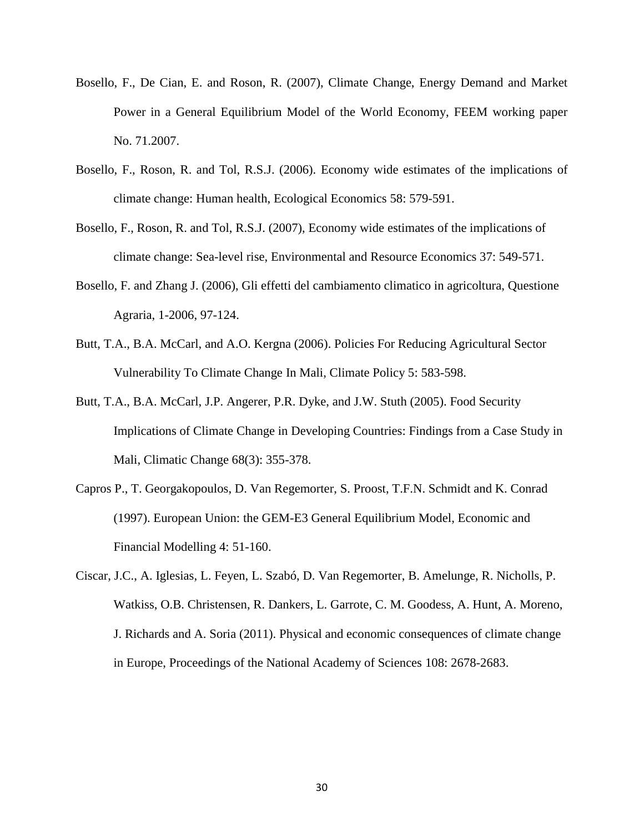- Bosello, F., De Cian, E. and Roson, R. (2007), Climate Change, Energy Demand and Market Power in a General Equilibrium Model of the World Economy, FEEM working paper No. 71.2007.
- Bosello, F., Roson, R. and Tol, R.S.J. (2006). Economy wide estimates of the implications of climate change: Human health, Ecological Economics 58: 579-591.
- Bosello, F., Roson, R. and Tol, R.S.J. (2007), Economy wide estimates of the implications of climate change: Sea-level rise, Environmental and Resource Economics 37: 549-571.
- Bosello, F. and Zhang J. (2006), Gli effetti del cambiamento climatico in agricoltura, Questione Agraria, 1-2006, 97-124.
- Butt, T.A., B.A. McCarl, and A.O. Kergna (2006). Policies For Reducing Agricultural Sector Vulnerability To Climate Change In Mali, Climate Policy 5: 583-598.
- Butt, T.A., B.A. McCarl, J.P. Angerer, P.R. Dyke, and J.W. Stuth (2005). Food Security Implications of Climate Change in Developing Countries: Findings from a Case Study in Mali, Climatic Change 68(3): 355-378.
- Capros P., T. Georgakopoulos, D. Van Regemorter, S. Proost, T.F.N. Schmidt and K. Conrad (1997). European Union: the GEM-E3 General Equilibrium Model, Economic and Financial Modelling 4: 51-160.
- Ciscar, J.C., A. Iglesias, L. Feyen, L. Szabó, D. Van Regemorter, B. Amelunge, R. Nicholls, P. Watkiss, O.B. Christensen, R. Dankers, L. Garrote, C. M. Goodess, A. Hunt, A. Moreno, J. Richards and A. Soria (2011). Physical and economic consequences of climate change in Europe, Proceedings of the National Academy of Sciences 108: 2678-2683.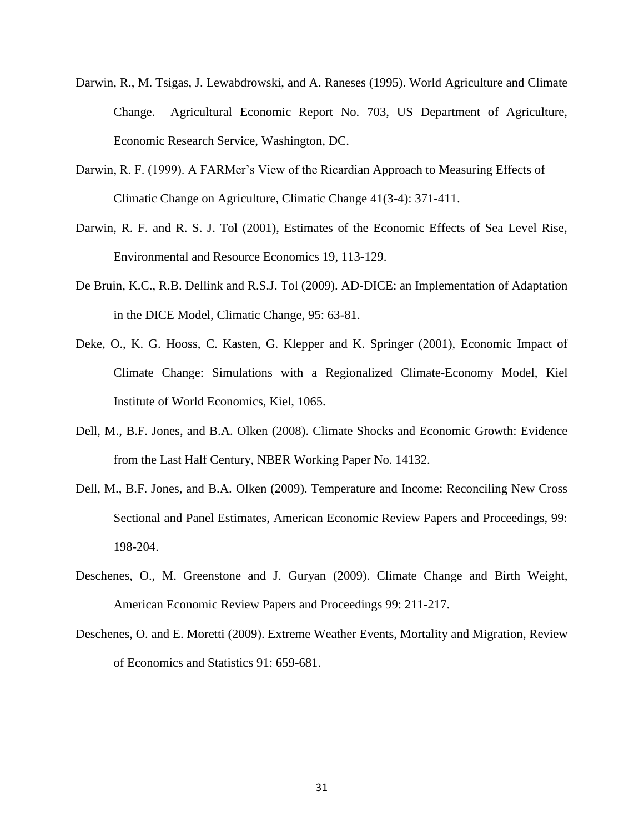- Darwin, R., M. Tsigas, J. Lewabdrowski, and A. Raneses (1995). World Agriculture and Climate Change. Agricultural Economic Report No. 703, US Department of Agriculture, Economic Research Service, Washington, DC.
- Darwin, R. F. (1999). A FARMer's View of the Ricardian Approach to Measuring Effects of Climatic Change on Agriculture, Climatic Change 41(3-4): 371-411.
- Darwin, R. F. and R. S. J. Tol (2001), Estimates of the Economic Effects of Sea Level Rise, Environmental and Resource Economics 19, 113-129.
- De Bruin, K.C., R.B. Dellink and R.S.J. Tol (2009). AD-DICE: an Implementation of Adaptation in the DICE Model, Climatic Change, 95: 63-81.
- Deke, O., K. G. Hooss, C. Kasten, G. Klepper and K. Springer (2001), Economic Impact of Climate Change: Simulations with a Regionalized Climate-Economy Model, Kiel Institute of World Economics, Kiel, 1065.
- Dell, M., B.F. Jones, and B.A. Olken (2008). Climate Shocks and Economic Growth: Evidence from the Last Half Century, NBER Working Paper No. 14132.
- Dell, M., B.F. Jones, and B.A. Olken (2009). Temperature and Income: Reconciling New Cross Sectional and Panel Estimates, American Economic Review Papers and Proceedings, 99: 198-204.
- Deschenes, O., M. Greenstone and J. Guryan (2009). Climate Change and Birth Weight, American Economic Review Papers and Proceedings 99: 211-217.
- Deschenes, O. and E. Moretti (2009). Extreme Weather Events, Mortality and Migration, Review of Economics and Statistics 91: 659-681.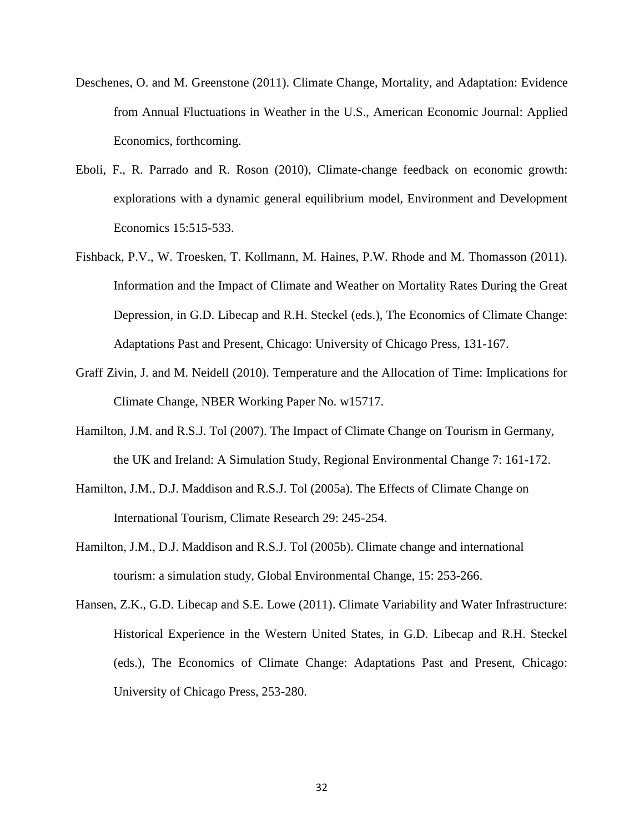- Deschenes, O. and M. Greenstone (2011). Climate Change, Mortality, and Adaptation: Evidence from Annual Fluctuations in Weather in the U.S., American Economic Journal: Applied Economics, forthcoming.
- Eboli, F., R. Parrado and R. Roson (2010), Climate-change feedback on economic growth: explorations with a dynamic general equilibrium model, Environment and Development Economics 15:515-533.
- Fishback, P.V., W. Troesken, T. Kollmann, M. Haines, P.W. Rhode and M. Thomasson (2011). Information and the Impact of Climate and Weather on Mortality Rates During the Great Depression, in G.D. Libecap and R.H. Steckel (eds.), The Economics of Climate Change: Adaptations Past and Present, Chicago: University of Chicago Press, 131-167.
- Graff Zivin, J. and M. Neidell (2010). Temperature and the Allocation of Time: Implications for Climate Change, NBER Working Paper No. w15717.
- Hamilton, J.M. and R.S.J. Tol (2007). The Impact of Climate Change on Tourism in Germany, the UK and Ireland: A Simulation Study, Regional Environmental Change 7: 161-172.
- Hamilton, J.M., D.J. Maddison and R.S.J. Tol (2005a). The Effects of Climate Change on International Tourism, Climate Research 29: 245-254.
- Hamilton, J.M., D.J. Maddison and R.S.J. Tol (2005b). Climate change and international tourism: a simulation study, Global Environmental Change, 15: 253-266.
- Hansen, Z.K., G.D. Libecap and S.E. Lowe (2011). Climate Variability and Water Infrastructure: Historical Experience in the Western United States, in G.D. Libecap and R.H. Steckel (eds.), The Economics of Climate Change: Adaptations Past and Present, Chicago: University of Chicago Press, 253-280.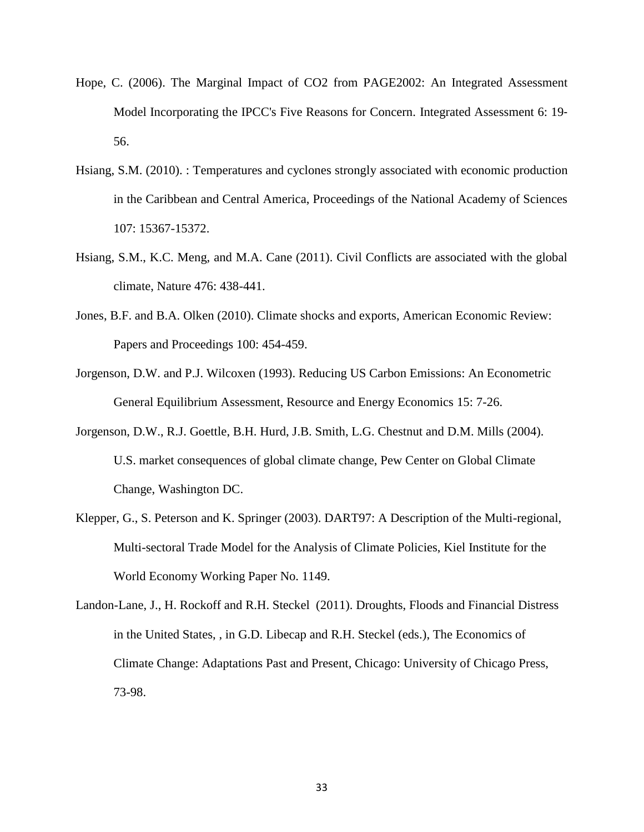- Hope, C. (2006). The Marginal Impact of CO2 from PAGE2002: An Integrated Assessment Model Incorporating the IPCC's Five Reasons for Concern. Integrated Assessment 6: 19‐ 56.
- Hsiang, S.M. (2010). : Temperatures and cyclones strongly associated with economic production in the Caribbean and Central America, Proceedings of the National Academy of Sciences 107: 15367-15372.
- Hsiang, S.M., K.C. Meng, and M.A. Cane (2011). Civil Conflicts are associated with the global climate, Nature 476: 438-441.
- Jones, B.F. and B.A. Olken (2010). Climate shocks and exports, American Economic Review: Papers and Proceedings 100: 454-459.
- Jorgenson, D.W. and P.J. Wilcoxen (1993). Reducing US Carbon Emissions: An Econometric General Equilibrium Assessment, Resource and Energy Economics 15: 7-26.
- Jorgenson, D.W., R.J. Goettle, B.H. Hurd, J.B. Smith, L.G. Chestnut and D.M. Mills (2004). U.S. market consequences of global climate change, Pew Center on Global Climate Change, Washington DC.
- Klepper, G., S. Peterson and K. Springer (2003). DART97: A Description of the Multi-regional, Multi-sectoral Trade Model for the Analysis of Climate Policies, Kiel Institute for the World Economy Working Paper No. 1149.
- Landon-Lane, J., H. Rockoff and R.H. Steckel (2011). Droughts, Floods and Financial Distress in the United States, , in G.D. Libecap and R.H. Steckel (eds.), The Economics of Climate Change: Adaptations Past and Present, Chicago: University of Chicago Press, 73-98.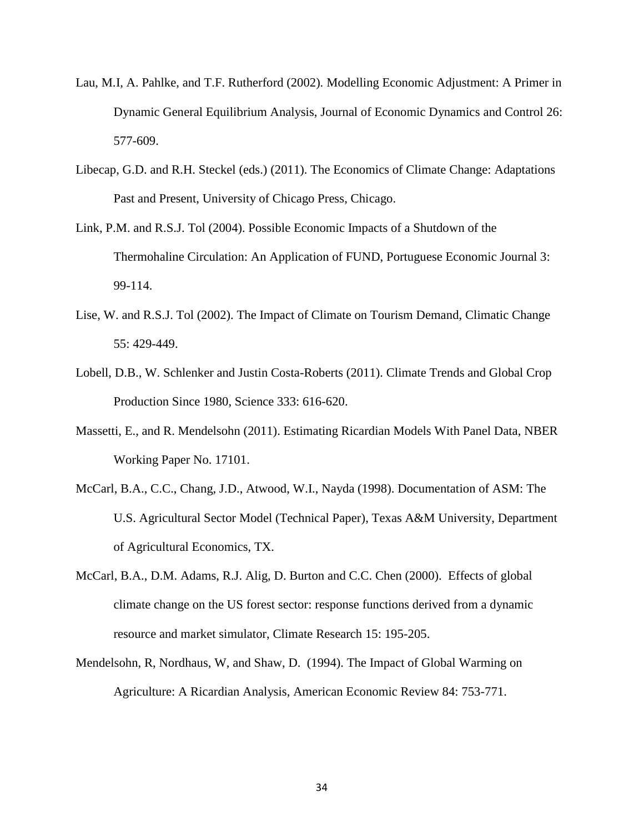- Lau, M.I, A. Pahlke, and T.F. Rutherford (2002). Modelling Economic Adjustment: A Primer in Dynamic General Equilibrium Analysis, Journal of Economic Dynamics and Control 26: 577-609.
- Libecap, G.D. and R.H. Steckel (eds.) (2011). The Economics of Climate Change: Adaptations Past and Present, University of Chicago Press, Chicago.
- Link, P.M. and R.S.J. Tol (2004). Possible Economic Impacts of a Shutdown of the Thermohaline Circulation: An Application of FUND, Portuguese Economic Journal 3: 99-114.
- Lise, W. and R.S.J. Tol (2002). The Impact of Climate on Tourism Demand, Climatic Change 55: 429-449.
- Lobell, D.B., W. Schlenker and Justin Costa-Roberts (2011). Climate Trends and Global Crop Production Since 1980, Science 333: 616-620.
- Massetti, E., and R. Mendelsohn (2011). Estimating Ricardian Models With Panel Data, NBER Working Paper No. 17101.
- McCarl, B.A., C.C., Chang, J.D., Atwood, W.I., Nayda (1998). Documentation of ASM: The U.S. Agricultural Sector Model (Technical Paper), Texas A&M University, Department of Agricultural Economics, TX.
- McCarl, B.A., D.M. Adams, R.J. Alig, D. Burton and C.C. Chen (2000). Effects of global climate change on the US forest sector: response functions derived from a dynamic resource and market simulator, Climate Research 15: 195-205.
- Mendelsohn, R, Nordhaus, W, and Shaw, D. (1994). The Impact of Global Warming on Agriculture: A Ricardian Analysis, American Economic Review 84: 753-771.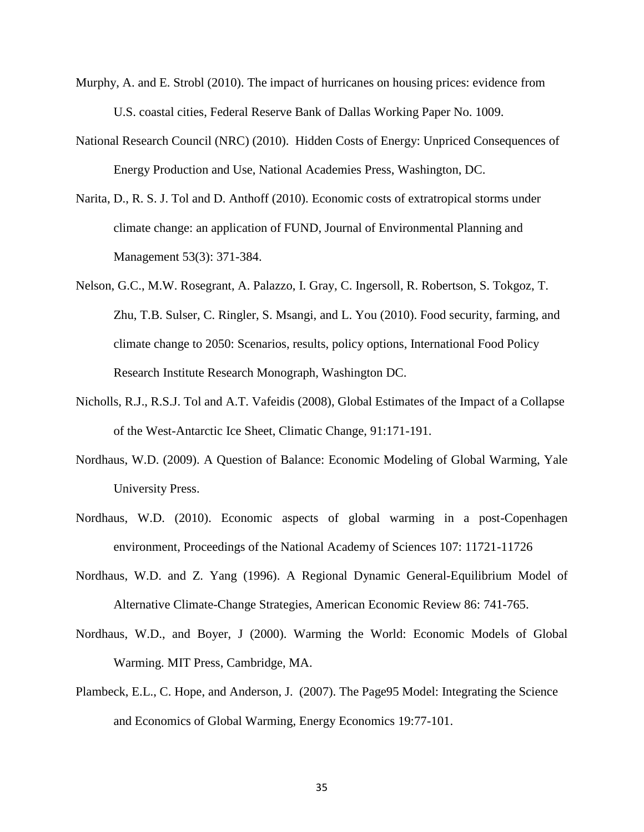- Murphy, A. and E. Strobl (2010). The impact of hurricanes on housing prices: evidence from U.S. coastal cities, Federal Reserve Bank of Dallas Working Paper No. 1009.
- National Research Council (NRC) (2010). Hidden Costs of Energy: Unpriced Consequences of Energy Production and Use, National Academies Press, Washington, DC.
- Narita, D., R. S. J. Tol and D. Anthoff (2010). Economic costs of extratropical storms under climate change: an application of FUND, Journal of Environmental Planning and Management 53(3): 371-384.
- Nelson, G.C., M.W. Rosegrant, A. Palazzo, I. Gray, C. Ingersoll, R. Robertson, S. Tokgoz, T. Zhu, T.B. Sulser, C. Ringler, S. Msangi, and L. You (2010). Food security, farming, and climate change to 2050: Scenarios, results, policy options, International Food Policy Research Institute Research Monograph, Washington DC.
- Nicholls, R.J., R.S.J. Tol and A.T. Vafeidis (2008), Global Estimates of the Impact of a Collapse of the West-Antarctic Ice Sheet, Climatic Change, 91:171-191.
- Nordhaus, W.D. (2009). A Question of Balance: Economic Modeling of Global Warming, Yale University Press.
- Nordhaus, W.D. (2010). Economic aspects of global warming in a post-Copenhagen environment, Proceedings of the National Academy of Sciences 107: 11721-11726
- Nordhaus, W.D. and Z. Yang (1996). A Regional Dynamic General-Equilibrium Model of Alternative Climate-Change Strategies, American Economic Review 86: 741-765.
- Nordhaus, W.D., and Boyer, J (2000). Warming the World: Economic Models of Global Warming. MIT Press, Cambridge, MA.
- Plambeck, E.L., C. Hope, and Anderson, J. (2007). The Page95 Model: Integrating the Science and Economics of Global Warming, Energy Economics 19:77-101.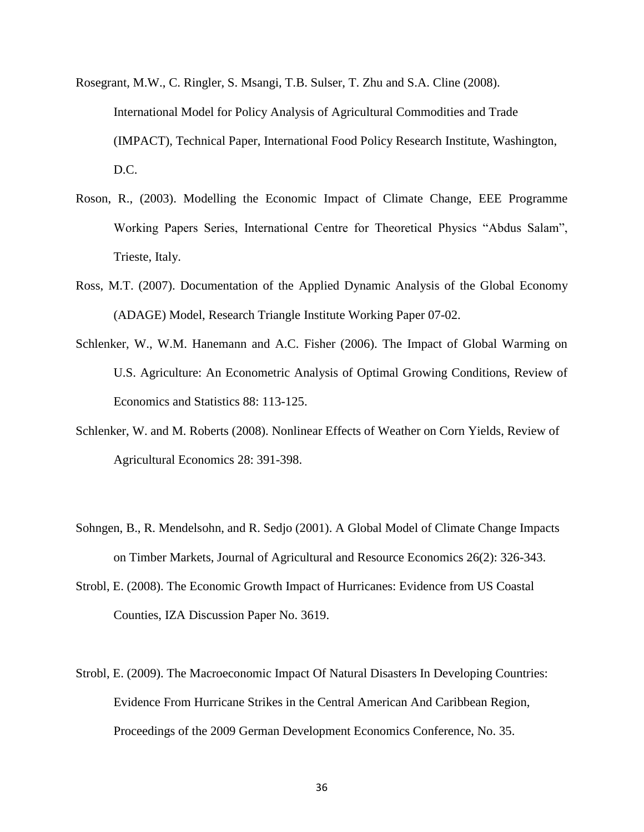- Rosegrant, M.W., C. Ringler, S. Msangi, T.B. Sulser, T. Zhu and S.A. Cline (2008). International Model for Policy Analysis of Agricultural Commodities and Trade (IMPACT), Technical Paper, International Food Policy Research Institute, Washington, D.C.
- Roson, R., (2003). Modelling the Economic Impact of Climate Change, EEE Programme Working Papers Series, International Centre for Theoretical Physics "Abdus Salam", Trieste, Italy.
- Ross, M.T. (2007). Documentation of the Applied Dynamic Analysis of the Global Economy (ADAGE) Model, Research Triangle Institute Working Paper 07-02.
- Schlenker, W., W.M. Hanemann and A.C. Fisher (2006). The Impact of Global Warming on U.S. Agriculture: An Econometric Analysis of Optimal Growing Conditions, Review of Economics and Statistics 88: 113-125.
- Schlenker, W. and M. Roberts (2008). Nonlinear Effects of Weather on Corn Yields, Review of Agricultural Economics 28: 391-398.
- Sohngen, B., R. Mendelsohn, and R. Sedjo (2001). A Global Model of Climate Change Impacts on Timber Markets, Journal of Agricultural and Resource Economics 26(2): 326-343.
- Strobl, E. (2008). The Economic Growth Impact of Hurricanes: Evidence from US Coastal Counties, IZA Discussion Paper No. 3619.
- Strobl, E. (2009). The Macroeconomic Impact Of Natural Disasters In Developing Countries: Evidence From Hurricane Strikes in the Central American And Caribbean Region, Proceedings of the 2009 German Development Economics Conference, No. 35.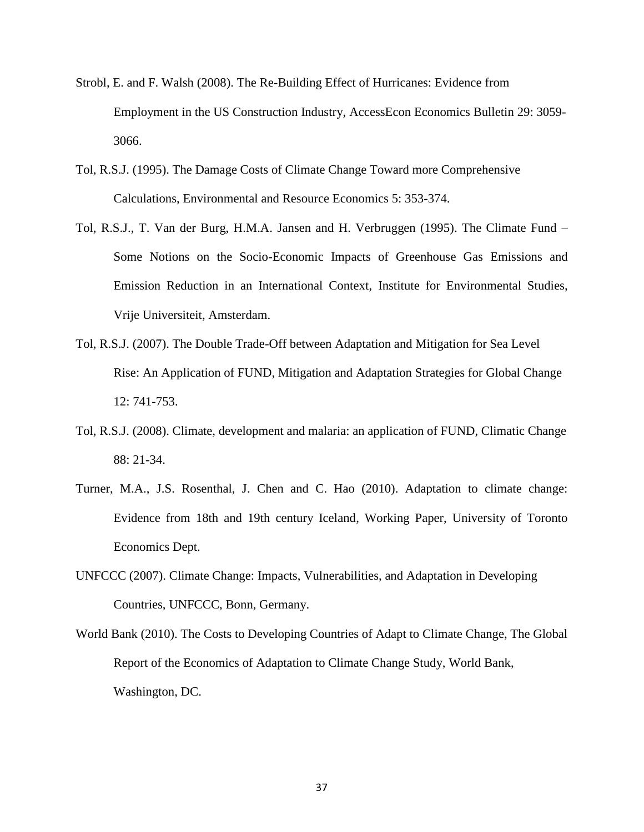- Strobl, E. and F. Walsh (2008). The Re-Building Effect of Hurricanes: Evidence from Employment in the US Construction Industry, AccessEcon Economics Bulletin 29: 3059- 3066.
- Tol, R.S.J. (1995). The Damage Costs of Climate Change Toward more Comprehensive Calculations, Environmental and Resource Economics 5: 353-374.
- Tol, R.S.J., T. Van der Burg, H.M.A. Jansen and H. Verbruggen (1995). The Climate Fund Some Notions on the Socio-Economic Impacts of Greenhouse Gas Emissions and Emission Reduction in an International Context, Institute for Environmental Studies, Vrije Universiteit, Amsterdam.
- Tol, R.S.J. (2007). The Double Trade-Off between Adaptation and Mitigation for Sea Level Rise: An Application of FUND, Mitigation and Adaptation Strategies for Global Change 12: 741-753.
- Tol, R.S.J. (2008). Climate, development and malaria: an application of FUND, Climatic Change 88: 21-34.
- Turner, M.A., J.S. Rosenthal, J. Chen and C. Hao (2010). Adaptation to climate change: Evidence from 18th and 19th century Iceland, Working Paper, University of Toronto Economics Dept.
- UNFCCC (2007). Climate Change: Impacts, Vulnerabilities, and Adaptation in Developing Countries, UNFCCC, Bonn, Germany.
- World Bank (2010). The Costs to Developing Countries of Adapt to Climate Change, The Global Report of the Economics of Adaptation to Climate Change Study, World Bank, Washington, DC.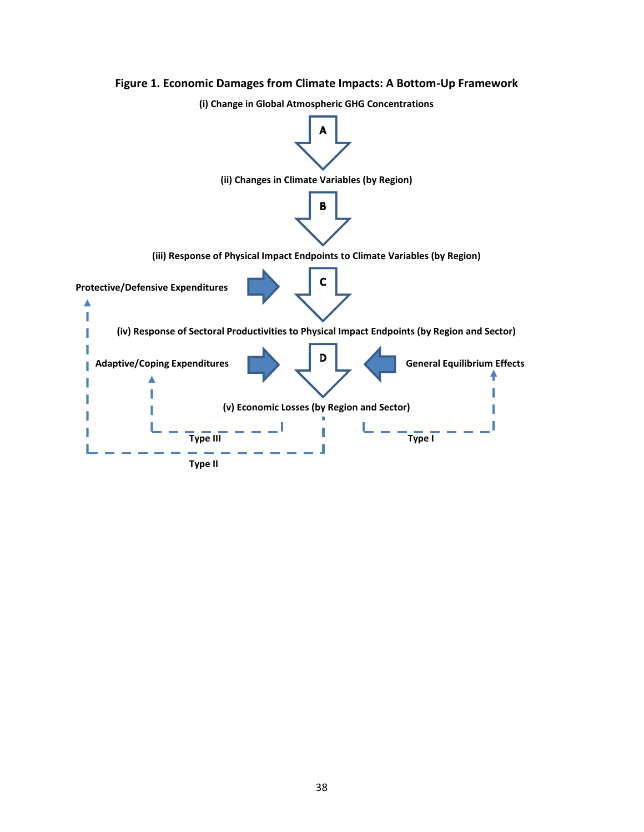

#### **Figure 1. Economic Damages from Climate Impacts: A Bottom-Up Framework**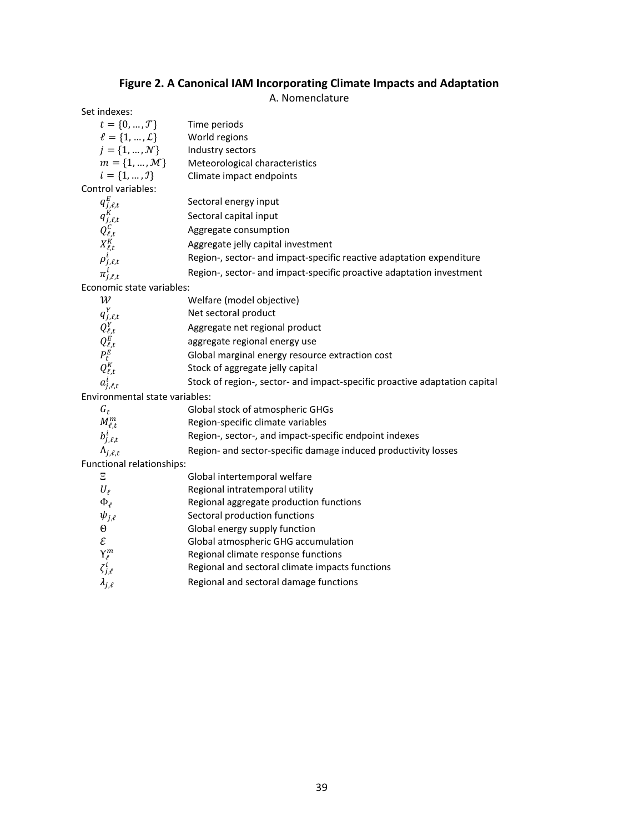#### **Figure 2. A Canonical IAM Incorporating Climate Impacts and Adaptation**

A. Nomenclature

| Set indexes:                                                                                   |                                                                            |
|------------------------------------------------------------------------------------------------|----------------------------------------------------------------------------|
| $t = \{0, , \mathcal{T}\}\$                                                                    | Time periods                                                               |
| $l = \{1, , L\}$                                                                               | World regions                                                              |
| $j = \{1, , \mathcal{N}\}\$                                                                    | Industry sectors                                                           |
| $m = \{1, \ldots, \mathcal{M}\}$                                                               | Meteorological characteristics                                             |
| $i = \{1, , J\}$                                                                               | Climate impact endpoints                                                   |
| Control variables:                                                                             |                                                                            |
| $q_{j,\ell,t}^E$                                                                               | Sectoral energy input                                                      |
| $q_{j,\ell,t}^K$<br>$Q_{\ell,t}^C$<br>$X_{\ell,t}^K$                                           | Sectoral capital input                                                     |
|                                                                                                | Aggregate consumption                                                      |
|                                                                                                | Aggregate jelly capital investment                                         |
| $\rho^i_{j,\ell,t}$                                                                            | Region-, sector- and impact-specific reactive adaptation expenditure       |
| $\pi^i_{j,\ell,t}$                                                                             | Region-, sector- and impact-specific proactive adaptation investment       |
| Economic state variables:                                                                      |                                                                            |
| $\mathcal W$                                                                                   | Welfare (model objective)                                                  |
| $q^Y_{j,\ell,t}$                                                                               | Net sectoral product                                                       |
| $Q_{\ell,t}^Y$<br>$Q_{\ell,t}^E$<br>$P_{t}^E$                                                  | Aggregate net regional product                                             |
|                                                                                                | aggregate regional energy use                                              |
|                                                                                                | Global marginal energy resource extraction cost                            |
| $Q_{\ell,t}^K$                                                                                 | Stock of aggregate jelly capital                                           |
| $a_{j,\ell,t}^i$                                                                               | Stock of region-, sector- and impact-specific proactive adaptation capital |
| Environmental state variables:                                                                 |                                                                            |
| $G_t$                                                                                          | Global stock of atmospheric GHGs                                           |
| $M_{\ell,t}^m$                                                                                 | Region-specific climate variables                                          |
| $b^i_{j,\ell,t}$                                                                               | Region-, sector-, and impact-specific endpoint indexes                     |
| $\Lambda_{j,\ell,t}$                                                                           | Region- and sector-specific damage induced productivity losses             |
| Functional relationships:                                                                      |                                                                            |
| Ξ                                                                                              | Global intertemporal welfare                                               |
| $U_{\ell}$                                                                                     | Regional intratemporal utility                                             |
| $\Phi_{\ell}$                                                                                  | Regional aggregate production functions                                    |
| $\psi_{j,\ell}$                                                                                | Sectoral production functions                                              |
| $\Theta$                                                                                       | Global energy supply function                                              |
| $\mathcal{E}% _{M_{1},M_{2}}^{\alpha,\beta}(\mathbf{A})$                                       | Global atmospheric GHG accumulation                                        |
|                                                                                                | Regional climate response functions                                        |
| $\begin{array}{c} \displaystyle \Upsilon_\ell^m \\ \displaystyle \zeta_{j,\ell}^i \end{array}$ | Regional and sectoral climate impacts functions                            |
| $\lambda_{j,\ell}$                                                                             | Regional and sectoral damage functions                                     |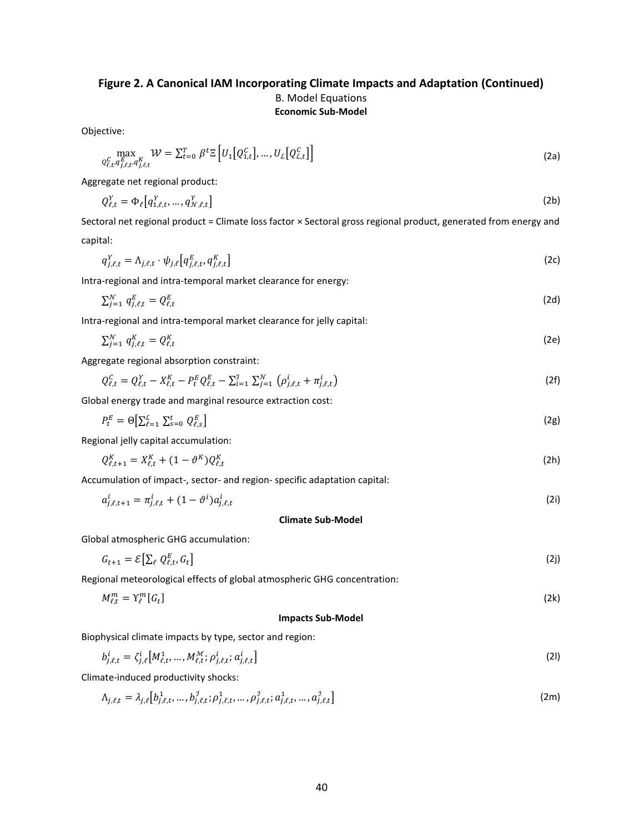### **Figure 2. A Canonical IAM Incorporating Climate Impacts and Adaptation (Continued)** B. Model Equations **Economic Sub-Model**

Objective:

$$
\max_{Q_{\ell,t}^C, q_{j,\ell,t}^E, q_{j,\ell,t}^K} \mathcal{W} = \sum_{t=0}^T \beta^t \Xi \left[ U_1 \left[ Q_{1,t}^C \right], \dots, U_L \left[ Q_{L,t}^C \right] \right] \tag{2a}
$$

Aggregate net regional product:

$$
Q_{\ell,t}^Y = \Phi_\ell \big[ q_{1,\ell,t}^Y, \dots, q_{N,\ell,t}^Y \big] \tag{2b}
$$

Sectoral net regional product = Climate loss factor × Sectoral gross regional product, generated from energy and capital:

$$
q_{j,\ell,t}^Y = \Lambda_{j,\ell,t} \cdot \psi_{j,\ell} \left[ q_{j,\ell,t}^E, q_{j,\ell,t}^K \right] \tag{2c}
$$

Intra-regional and intra-temporal market clearance for energy:

$$
\sum_{j=1}^{N} q_{j,\ell,t}^{E} = Q_{\ell,t}^{E}
$$
 (2d)

Intra-regional and intra-temporal market clearance for jelly capital:

$$
\sum_{j=1}^{N} q_{j,\ell,t}^{K} = Q_{\ell,t}^{K} \tag{2e}
$$

Aggregate regional absorption constraint:

$$
Q_{\ell,t}^C = Q_{\ell,t}^Y - X_{\ell,t}^K - P_t^E Q_{\ell,t}^E - \sum_{i=1}^{\mathcal{I}} \sum_{j=1}^{\mathcal{N}} \left( \rho_{j,\ell,t}^i + \pi_{j,\ell,t}^i \right)
$$
(2f)

Global energy trade and marginal resource extraction cost:

$$
P_t^E = \Theta \big[ \sum_{\ell=1}^L \sum_{s=0}^t Q_{\ell,s}^E \big] \tag{2g}
$$

Regional jelly capital accumulation:

$$
Q_{\ell,t+1}^K = X_{\ell,t}^K + (1 - \vartheta^K) Q_{\ell,t}^K
$$
 (2h)

Accumulation of impact-, sector- and region- specific adaptation capital:

$$
a_{j,\ell,t+1}^i = \pi_{j,\ell,t}^i + (1 - \vartheta^i) a_{j,\ell,t}^i
$$
 (2i)

#### **Climate Sub-Model**

Global atmospheric GHG accumulation:

$$
G_{t+1} = \mathcal{E} \big[ \sum_{\ell} Q_{\ell,t}^E, G_t \big] \tag{2}
$$

Regional meteorological effects of global atmospheric GHG concentration:

$$
M_{\ell,t}^m = \Upsilon_{\ell}^m[G_t] \tag{2k}
$$

#### **Impacts Sub-Model**

Biophysical climate impacts by type, sector and region:

$$
b_{j,\ell,t}^i = \zeta_{j,\ell}^i \big[ M_{\ell,t}^1, \dots, M_{\ell,t}^{\mathcal{M}}; \rho_{j,\ell,t}^i; a_{j,\ell,t}^i \big] \tag{21}
$$

Climate-induced productivity shocks:

$$
\Lambda_{j,\ell,t} = \lambda_{j,\ell} \left[ b_{j,\ell,t}^1, \dots, b_{j,\ell,t}^j; \rho_{j,\ell,t}^1, \dots, \rho_{j,\ell,t}^j; a_{j,\ell,t}^1, \dots, a_{j,\ell,t}^j \right]
$$
(2m)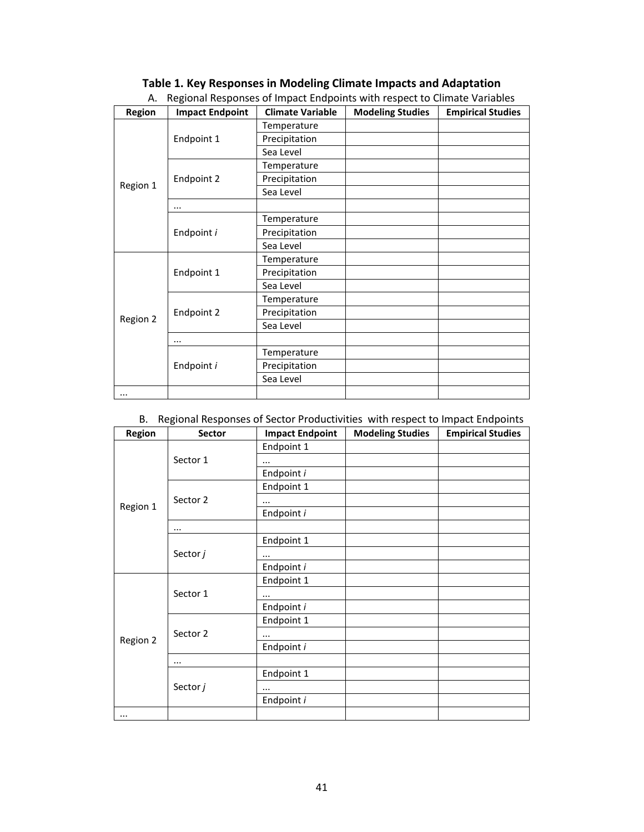| <b>Region</b> | <b>Impact Endpoint</b> | <b>Climate Variable</b> | <b>Modeling Studies</b> | <b>Empirical Studies</b> |
|---------------|------------------------|-------------------------|-------------------------|--------------------------|
|               | Endpoint 1             | Temperature             |                         |                          |
|               |                        | Precipitation           |                         |                          |
|               |                        | Sea Level               |                         |                          |
|               |                        | Temperature             |                         |                          |
| Region 1      | Endpoint 2             | Precipitation           |                         |                          |
|               |                        | Sea Level               |                         |                          |
|               | $\cdots$               |                         |                         |                          |
|               |                        | Temperature             |                         |                          |
|               | Endpoint i             | Precipitation           |                         |                          |
|               |                        | Sea Level               |                         |                          |
|               | Endpoint 1             | Temperature             |                         |                          |
|               |                        | Precipitation           |                         |                          |
|               |                        | Sea Level               |                         |                          |
|               | Endpoint 2             | Temperature             |                         |                          |
|               |                        | Precipitation           |                         |                          |
| Region 2      |                        | Sea Level               |                         |                          |
|               | $\cdots$               |                         |                         |                          |
|               | Endpoint i             | Temperature             |                         |                          |
|               |                        | Precipitation           |                         |                          |
|               |                        | Sea Level               |                         |                          |
|               |                        |                         |                         |                          |

#### **Table 1. Key Responses in Modeling Climate Impacts and Adaptation** A. Regional Responses of Impact Endpoints with respect to Climate Variables

#### B. Regional Responses of Sector Productivities with respect to Impact Endpoints

| <b>Region</b> | Sector   | <b>Impact Endpoint</b> | <b>Modeling Studies</b> | $\sim$ $\sim$ $\sim$ $\sim$<br><b>Empirical Studies</b> |
|---------------|----------|------------------------|-------------------------|---------------------------------------------------------|
|               | Sector 1 | Endpoint 1             |                         |                                                         |
|               |          | $\cdots$               |                         |                                                         |
|               |          | Endpoint i             |                         |                                                         |
|               | Sector 2 | Endpoint 1             |                         |                                                         |
| Region 1      |          | $\cdots$               |                         |                                                         |
|               |          | Endpoint i             |                         |                                                         |
|               |          |                        |                         |                                                         |
|               |          | Endpoint 1             |                         |                                                         |
|               | Sector j | $\cdots$               |                         |                                                         |
|               |          | Endpoint i             |                         |                                                         |
|               | Sector 1 | Endpoint 1             |                         |                                                         |
|               |          | $\cdots$               |                         |                                                         |
|               |          | Endpoint i             |                         |                                                         |
|               | Sector 2 | Endpoint 1             |                         |                                                         |
|               |          | $\cdots$               |                         |                                                         |
| Region 2      |          | Endpoint i             |                         |                                                         |
|               | $\cdots$ |                        |                         |                                                         |
|               | Sector j | Endpoint 1             |                         |                                                         |
|               |          | $\cdots$               |                         |                                                         |
|               |          | Endpoint i             |                         |                                                         |
|               |          |                        |                         |                                                         |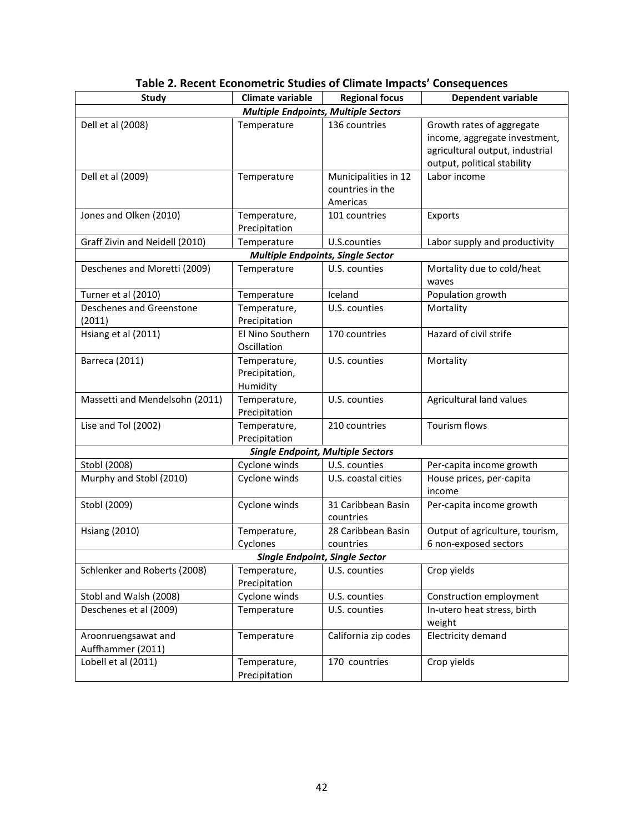| <b>Study</b>                          | <b>Climate variable</b>       | <b>Regional focus</b>                       | Dependent variable                  |  |
|---------------------------------------|-------------------------------|---------------------------------------------|-------------------------------------|--|
|                                       |                               | <b>Multiple Endpoints, Multiple Sectors</b> |                                     |  |
| Dell et al (2008)                     | Temperature                   | 136 countries                               | Growth rates of aggregate           |  |
|                                       |                               |                                             | income, aggregate investment,       |  |
|                                       |                               |                                             | agricultural output, industrial     |  |
|                                       |                               |                                             | output, political stability         |  |
| Dell et al (2009)                     | Temperature                   | Municipalities in 12                        | Labor income                        |  |
|                                       |                               | countries in the                            |                                     |  |
|                                       |                               | Americas                                    |                                     |  |
| Jones and Olken (2010)                | Temperature,                  | 101 countries                               | Exports                             |  |
|                                       | Precipitation                 |                                             |                                     |  |
| Graff Zivin and Neidell (2010)        | Temperature                   | U.S.counties                                | Labor supply and productivity       |  |
|                                       |                               | <b>Multiple Endpoints, Single Sector</b>    |                                     |  |
| Deschenes and Moretti (2009)          | Temperature                   | U.S. counties                               | Mortality due to cold/heat<br>waves |  |
| Turner et al (2010)                   | Temperature                   | Iceland                                     | Population growth                   |  |
| Deschenes and Greenstone              | Temperature,                  | U.S. counties                               | Mortality                           |  |
| (2011)                                | Precipitation                 |                                             |                                     |  |
| Hsiang et al (2011)                   | El Nino Southern              | 170 countries                               | Hazard of civil strife              |  |
|                                       | Oscillation                   |                                             |                                     |  |
| Barreca (2011)                        | Temperature,                  | U.S. counties                               | Mortality                           |  |
|                                       | Precipitation,                |                                             |                                     |  |
|                                       | Humidity                      |                                             |                                     |  |
| Massetti and Mendelsohn (2011)        | Temperature,<br>Precipitation | U.S. counties                               | Agricultural land values            |  |
| Lise and Tol (2002)                   | Temperature,                  | 210 countries                               | Tourism flows                       |  |
|                                       | Precipitation                 |                                             |                                     |  |
|                                       |                               | <b>Single Endpoint, Multiple Sectors</b>    |                                     |  |
| Stobl (2008)                          | Cyclone winds                 | U.S. counties                               | Per-capita income growth            |  |
| Murphy and Stobl (2010)               | Cyclone winds                 | U.S. coastal cities                         | House prices, per-capita            |  |
|                                       |                               |                                             | income                              |  |
| Stobl (2009)                          | Cyclone winds                 | 31 Caribbean Basin                          | Per-capita income growth            |  |
|                                       |                               | countries                                   |                                     |  |
| <b>Hsiang (2010)</b>                  | Temperature,                  | 28 Caribbean Basin                          | Output of agriculture, tourism,     |  |
|                                       | Cyclones                      | countries                                   | 6 non-exposed sectors               |  |
| <b>Single Endpoint, Single Sector</b> |                               |                                             |                                     |  |
| Schlenker and Roberts (2008)          | Temperature,<br>Precipitation | U.S. counties                               | Crop yields                         |  |
| Stobl and Walsh (2008)                | Cyclone winds                 | U.S. counties                               | Construction employment             |  |
| Deschenes et al (2009)                | Temperature                   | U.S. counties                               | In-utero heat stress, birth         |  |
|                                       |                               |                                             | weight                              |  |
| Aroonruengsawat and                   | Temperature                   | California zip codes                        | Electricity demand                  |  |
| Auffhammer (2011)                     |                               |                                             |                                     |  |
| Lobell et al (2011)                   | Temperature,<br>Precipitation | 170 countries                               | Crop yields                         |  |

| Table 2. Recent Econometric Studies of Climate Impacts' Consequences |  |
|----------------------------------------------------------------------|--|
|----------------------------------------------------------------------|--|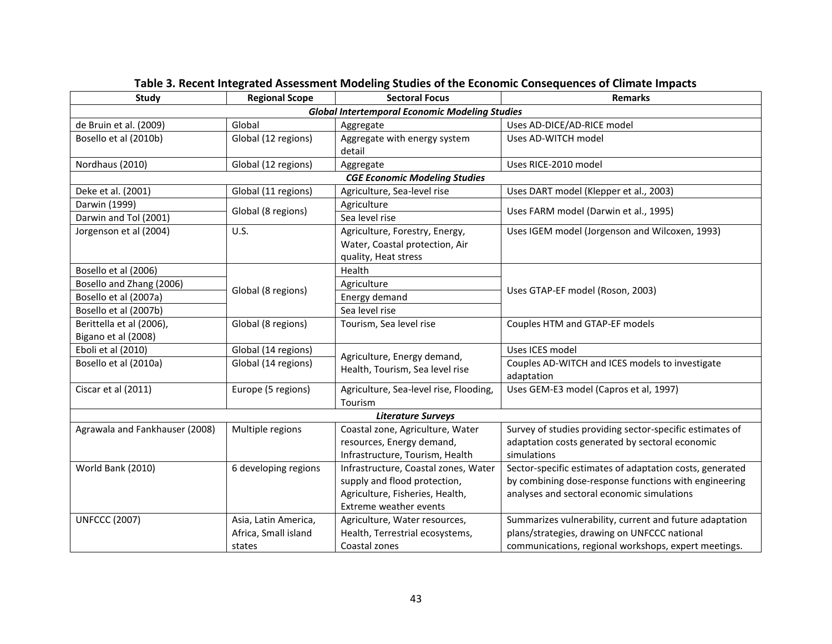| Study                                                 | <b>Regional Scope</b> | <b>Sectoral Focus</b>                  | <b>Remarks</b>                                           |  |
|-------------------------------------------------------|-----------------------|----------------------------------------|----------------------------------------------------------|--|
| <b>Global Intertemporal Economic Modeling Studies</b> |                       |                                        |                                                          |  |
| de Bruin et al. (2009)                                | Global                | Aggregate                              | Uses AD-DICE/AD-RICE model                               |  |
| Bosello et al (2010b)                                 | Global (12 regions)   | Aggregate with energy system           | Uses AD-WITCH model                                      |  |
|                                                       |                       | detail                                 |                                                          |  |
| Nordhaus (2010)                                       | Global (12 regions)   | Aggregate                              | Uses RICE-2010 model                                     |  |
| <b>CGE Economic Modeling Studies</b>                  |                       |                                        |                                                          |  |
| Deke et al. (2001)                                    | Global (11 regions)   | Agriculture, Sea-level rise            | Uses DART model (Klepper et al., 2003)                   |  |
| Darwin (1999)                                         | Global (8 regions)    | Agriculture                            | Uses FARM model (Darwin et al., 1995)                    |  |
| Darwin and Tol (2001)                                 |                       | Sea level rise                         |                                                          |  |
| Jorgenson et al (2004)                                | U.S.                  | Agriculture, Forestry, Energy,         | Uses IGEM model (Jorgenson and Wilcoxen, 1993)           |  |
|                                                       |                       | Water, Coastal protection, Air         |                                                          |  |
|                                                       |                       | quality, Heat stress                   |                                                          |  |
| Bosello et al (2006)                                  |                       | Health                                 |                                                          |  |
| Bosello and Zhang (2006)                              | Global (8 regions)    | Agriculture                            | Uses GTAP-EF model (Roson, 2003)                         |  |
| Bosello et al (2007a)                                 |                       | Energy demand                          |                                                          |  |
| Bosello et al (2007b)                                 |                       | Sea level rise                         |                                                          |  |
| Berittella et al (2006),                              | Global (8 regions)    | Tourism, Sea level rise                | Couples HTM and GTAP-EF models                           |  |
| Bigano et al (2008)                                   |                       |                                        |                                                          |  |
| Eboli et al (2010)                                    | Global (14 regions)   | Agriculture, Energy demand,            | Uses ICES model                                          |  |
| Bosello et al (2010a)                                 | Global (14 regions)   | Health, Tourism, Sea level rise        | Couples AD-WITCH and ICES models to investigate          |  |
|                                                       |                       |                                        | adaptation                                               |  |
| Ciscar et al (2011)                                   | Europe (5 regions)    | Agriculture, Sea-level rise, Flooding, | Uses GEM-E3 model (Capros et al, 1997)                   |  |
|                                                       |                       | Tourism                                |                                                          |  |
|                                                       |                       | <b>Literature Surveys</b>              |                                                          |  |
| Agrawala and Fankhauser (2008)                        | Multiple regions      | Coastal zone, Agriculture, Water       | Survey of studies providing sector-specific estimates of |  |
|                                                       |                       | resources, Energy demand,              | adaptation costs generated by sectoral economic          |  |
|                                                       |                       | Infrastructure, Tourism, Health        | simulations                                              |  |
| World Bank (2010)                                     | 6 developing regions  | Infrastructure, Coastal zones, Water   | Sector-specific estimates of adaptation costs, generated |  |
|                                                       |                       | supply and flood protection,           | by combining dose-response functions with engineering    |  |
|                                                       |                       | Agriculture, Fisheries, Health,        | analyses and sectoral economic simulations               |  |
|                                                       |                       | Extreme weather events                 |                                                          |  |
| <b>UNFCCC (2007)</b>                                  | Asia, Latin America,  | Agriculture, Water resources,          | Summarizes vulnerability, current and future adaptation  |  |
|                                                       | Africa, Small island  | Health, Terrestrial ecosystems,        | plans/strategies, drawing on UNFCCC national             |  |
|                                                       | states                | Coastal zones                          | communications, regional workshops, expert meetings.     |  |

# **Table 3. Recent Integrated Assessment Modeling Studies of the Economic Consequences of Climate Impacts**